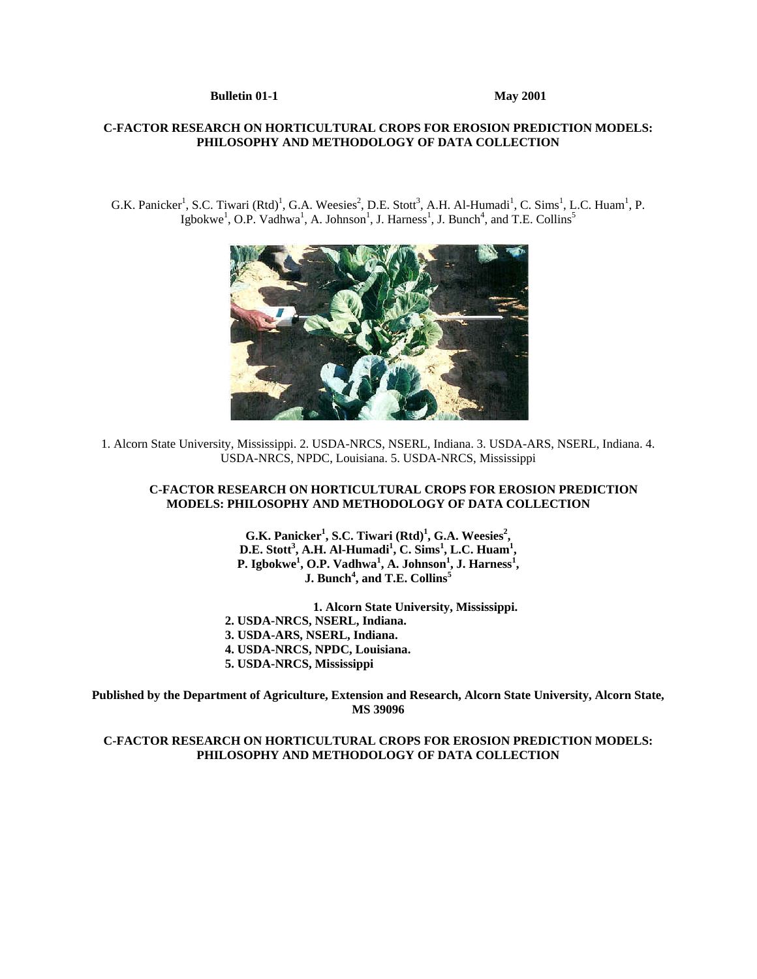### **Bulletin 01-1** May 2001

## **C-FACTOR RESEARCH ON HORTICULTURAL CROPS FOR EROSION PREDICTION MODELS: PHILOSOPHY AND METHODOLOGY OF DATA COLLECTION**

G.K. Panicker<sup>1</sup>, S.C. Tiwari (Rtd)<sup>1</sup>, G.A. Weesies<sup>2</sup>, D.E. Stott<sup>3</sup>, A.H. Al-Humadi<sup>1</sup>, C. Sims<sup>1</sup>, L.C. Huam<sup>1</sup>, P. Igbokwe<sup>1</sup>, O.P. Vadhwa<sup>1</sup>, A. Johnson<sup>1</sup>, J. Harness<sup>1</sup>, J. Bunch<sup>4</sup>, and T.E. Collins<sup>5</sup>



1. Alcorn State University, Mississippi. 2. USDA-NRCS, NSERL, Indiana. 3. USDA-ARS, NSERL, Indiana. 4. USDA-NRCS, NPDC, Louisiana. 5. USDA-NRCS, Mississippi

## **C-FACTOR RESEARCH ON HORTICULTURAL CROPS FOR EROSION PREDICTION MODELS: PHILOSOPHY AND METHODOLOGY OF DATA COLLECTION**

**G.K. Panicker<sup>1</sup>, S.C. Tiwari (Rtd)<sup>1</sup>, G.A. Weesies<sup>2</sup>, D.E. Stott<sup>3</sup>, A.H. Al-Humadi<sup>1</sup>, C. Sims<sup>1</sup>, L.C. Huam<sup>1</sup>, P. Igbokwe1 , O.P. Vadhwa<sup>1</sup> , A. Johnson<sup>1</sup> , J. Harness<sup>1</sup> , J. Bunch<sup>4</sup> , and T.E. Collins<sup>5</sup>** 

 **1. Alcorn State University, Mississippi. 2. USDA-NRCS, NSERL, Indiana. 3. USDA-ARS, NSERL, Indiana. 4. USDA-NRCS, NPDC, Louisiana. 5. USDA-NRCS, Mississippi** 

**Published by the Department of Agriculture, Extension and Research, Alcorn State University, Alcorn State, MS 39096**

## **C-FACTOR RESEARCH ON HORTICULTURAL CROPS FOR EROSION PREDICTION MODELS: PHILOSOPHY AND METHODOLOGY OF DATA COLLECTION**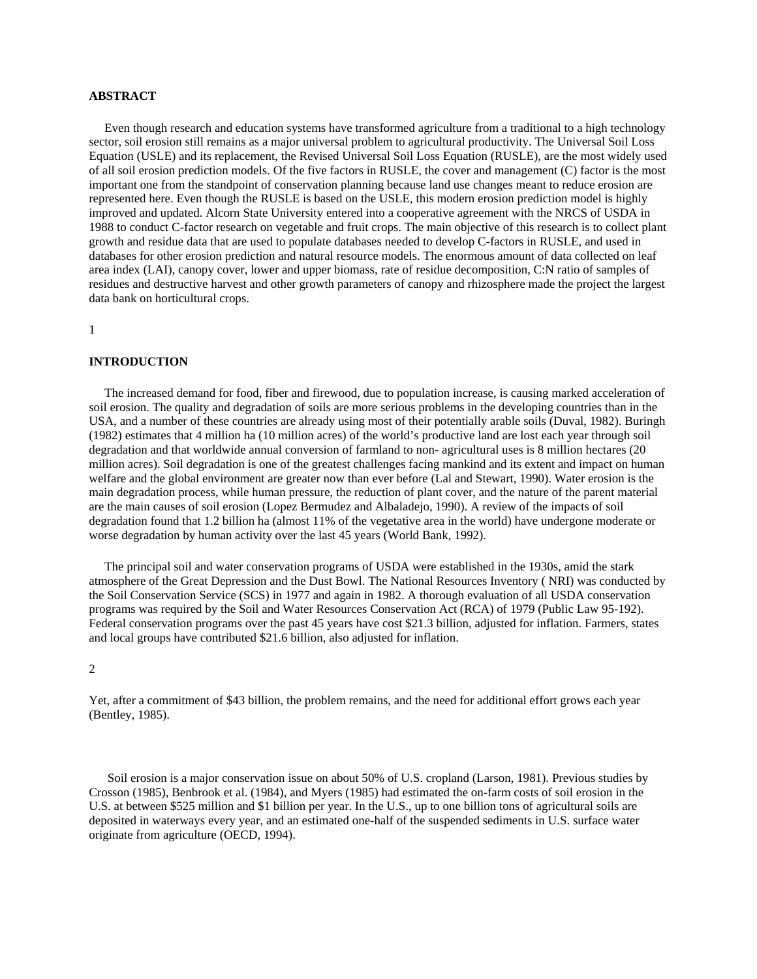## **ABSTRACT**

 Even though research and education systems have transformed agriculture from a traditional to a high technology sector, soil erosion still remains as a major universal problem to agricultural productivity. The Universal Soil Loss Equation (USLE) and its replacement, the Revised Universal Soil Loss Equation (RUSLE), are the most widely used of all soil erosion prediction models. Of the five factors in RUSLE, the cover and management (C) factor is the most important one from the standpoint of conservation planning because land use changes meant to reduce erosion are represented here. Even though the RUSLE is based on the USLE, this modern erosion prediction model is highly improved and updated. Alcorn State University entered into a cooperative agreement with the NRCS of USDA in 1988 to conduct C-factor research on vegetable and fruit crops. The main objective of this research is to collect plant growth and residue data that are used to populate databases needed to develop C-factors in RUSLE, and used in databases for other erosion prediction and natural resource models. The enormous amount of data collected on leaf area index (LAI), canopy cover, lower and upper biomass, rate of residue decomposition, C:N ratio of samples of residues and destructive harvest and other growth parameters of canopy and rhizosphere made the project the largest data bank on horticultural crops.

1

### **INTRODUCTION**

 The increased demand for food, fiber and firewood, due to population increase, is causing marked acceleration of soil erosion. The quality and degradation of soils are more serious problems in the developing countries than in the USA, and a number of these countries are already using most of their potentially arable soils (Duval, 1982). Buringh (1982) estimates that 4 million ha (10 million acres) of the world's productive land are lost each year through soil degradation and that worldwide annual conversion of farmland to non- agricultural uses is 8 million hectares (20 million acres). Soil degradation is one of the greatest challenges facing mankind and its extent and impact on human welfare and the global environment are greater now than ever before (Lal and Stewart, 1990). Water erosion is the main degradation process, while human pressure, the reduction of plant cover, and the nature of the parent material are the main causes of soil erosion (Lopez Bermudez and Albaladejo, 1990). A review of the impacts of soil degradation found that 1.2 billion ha (almost 11% of the vegetative area in the world) have undergone moderate or worse degradation by human activity over the last 45 years (World Bank, 1992).

 The principal soil and water conservation programs of USDA were established in the 1930s, amid the stark atmosphere of the Great Depression and the Dust Bowl. The National Resources Inventory ( NRI) was conducted by the Soil Conservation Service (SCS) in 1977 and again in 1982. A thorough evaluation of all USDA conservation programs was required by the Soil and Water Resources Conservation Act (RCA) of 1979 (Public Law 95-192). Federal conservation programs over the past 45 years have cost \$21.3 billion, adjusted for inflation. Farmers, states and local groups have contributed \$21.6 billion, also adjusted for inflation.

#### 2

Yet, after a commitment of \$43 billion, the problem remains, and the need for additional effort grows each year (Bentley, 1985).

 Soil erosion is a major conservation issue on about 50% of U.S. cropland (Larson, 1981). Previous studies by Crosson (1985), Benbrook et al. (1984), and Myers (1985) had estimated the on-farm costs of soil erosion in the U.S. at between \$525 million and \$1 billion per year. In the U.S., up to one billion tons of agricultural soils are deposited in waterways every year, and an estimated one-half of the suspended sediments in U.S. surface water originate from agriculture (OECD, 1994).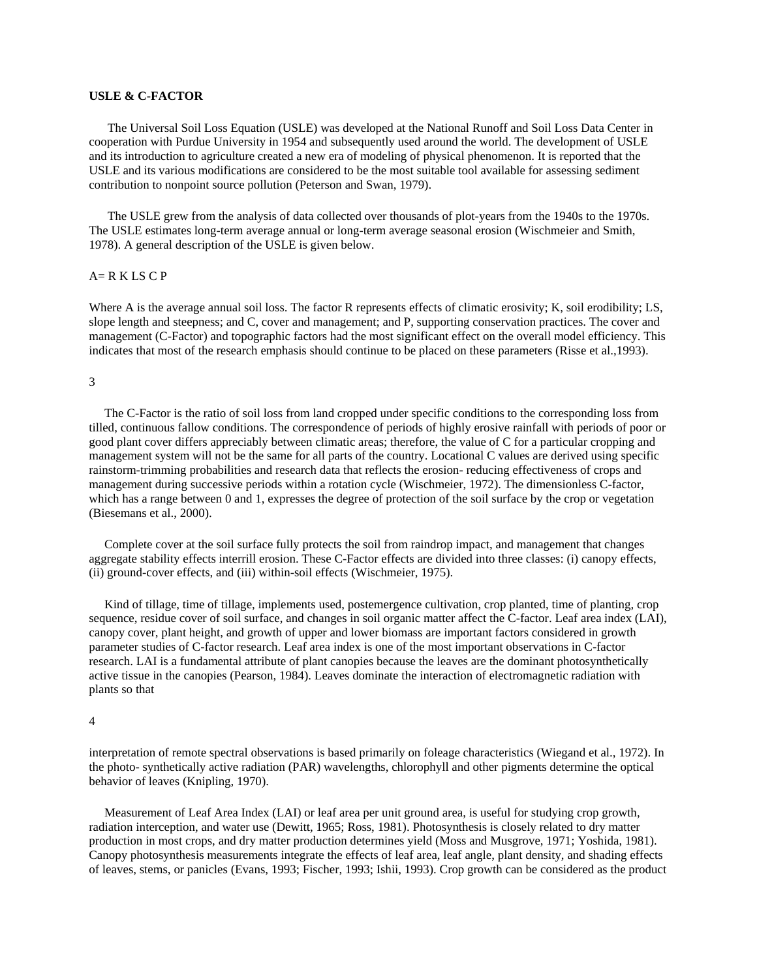## **USLE & C-FACTOR**

 The Universal Soil Loss Equation (USLE) was developed at the National Runoff and Soil Loss Data Center in cooperation with Purdue University in 1954 and subsequently used around the world. The development of USLE and its introduction to agriculture created a new era of modeling of physical phenomenon. It is reported that the USLE and its various modifications are considered to be the most suitable tool available for assessing sediment contribution to nonpoint source pollution (Peterson and Swan, 1979).

 The USLE grew from the analysis of data collected over thousands of plot-years from the 1940s to the 1970s. The USLE estimates long-term average annual or long-term average seasonal erosion (Wischmeier and Smith, 1978). A general description of the USLE is given below.

## $A= R K LS C P$

Where A is the average annual soil loss. The factor R represents effects of climatic erosivity; K, soil erodibility; LS, slope length and steepness; and C, cover and management; and P, supporting conservation practices. The cover and management (C-Factor) and topographic factors had the most significant effect on the overall model efficiency. This indicates that most of the research emphasis should continue to be placed on these parameters (Risse et al.,1993).

#### 3

 The C-Factor is the ratio of soil loss from land cropped under specific conditions to the corresponding loss from tilled, continuous fallow conditions. The correspondence of periods of highly erosive rainfall with periods of poor or good plant cover differs appreciably between climatic areas; therefore, the value of C for a particular cropping and management system will not be the same for all parts of the country. Locational C values are derived using specific rainstorm-trimming probabilities and research data that reflects the erosion- reducing effectiveness of crops and management during successive periods within a rotation cycle (Wischmeier, 1972). The dimensionless C-factor, which has a range between 0 and 1, expresses the degree of protection of the soil surface by the crop or vegetation (Biesemans et al., 2000).

 Complete cover at the soil surface fully protects the soil from raindrop impact, and management that changes aggregate stability effects interrill erosion. These C-Factor effects are divided into three classes: (i) canopy effects, (ii) ground-cover effects, and (iii) within-soil effects (Wischmeier, 1975).

 Kind of tillage, time of tillage, implements used, postemergence cultivation, crop planted, time of planting, crop sequence, residue cover of soil surface, and changes in soil organic matter affect the C-factor. Leaf area index (LAI), canopy cover, plant height, and growth of upper and lower biomass are important factors considered in growth parameter studies of C-factor research. Leaf area index is one of the most important observations in C-factor research. LAI is a fundamental attribute of plant canopies because the leaves are the dominant photosynthetically active tissue in the canopies (Pearson, 1984). Leaves dominate the interaction of electromagnetic radiation with plants so that

#### 4

interpretation of remote spectral observations is based primarily on foleage characteristics (Wiegand et al., 1972). In the photo- synthetically active radiation (PAR) wavelengths, chlorophyll and other pigments determine the optical behavior of leaves (Knipling, 1970).

 Measurement of Leaf Area Index (LAI) or leaf area per unit ground area, is useful for studying crop growth, radiation interception, and water use (Dewitt, 1965; Ross, 1981). Photosynthesis is closely related to dry matter production in most crops, and dry matter production determines yield (Moss and Musgrove, 1971; Yoshida, 1981). Canopy photosynthesis measurements integrate the effects of leaf area, leaf angle, plant density, and shading effects of leaves, stems, or panicles (Evans, 1993; Fischer, 1993; Ishii, 1993). Crop growth can be considered as the product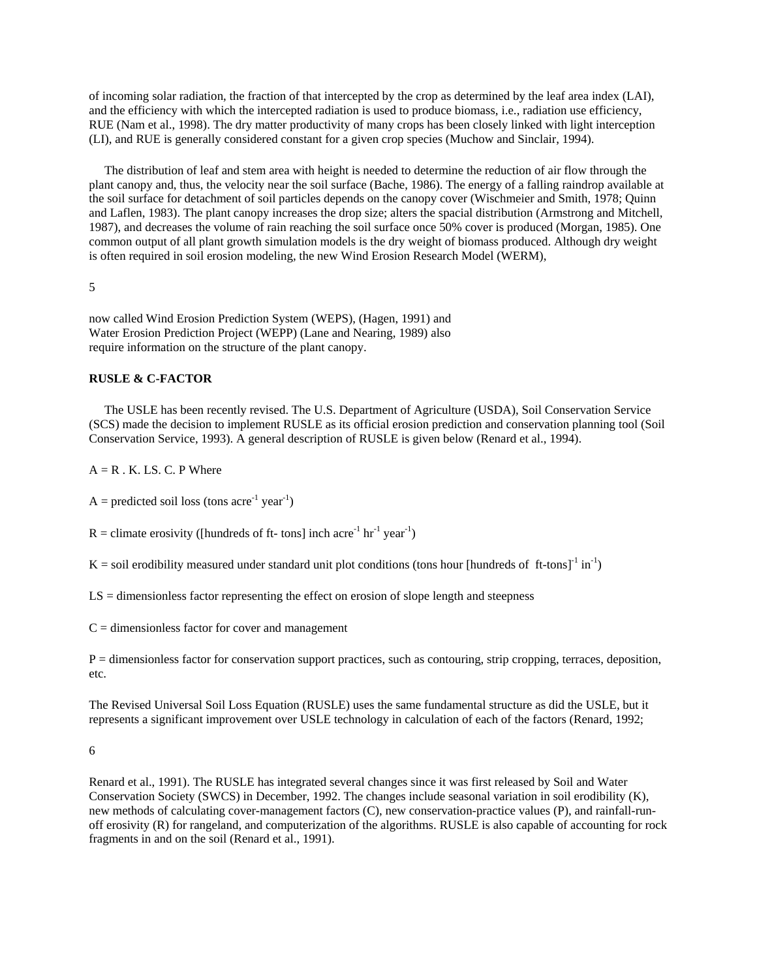of incoming solar radiation, the fraction of that intercepted by the crop as determined by the leaf area index (LAI), and the efficiency with which the intercepted radiation is used to produce biomass, i.e., radiation use efficiency, RUE (Nam et al., 1998). The dry matter productivity of many crops has been closely linked with light interception (LI), and RUE is generally considered constant for a given crop species (Muchow and Sinclair, 1994).

 The distribution of leaf and stem area with height is needed to determine the reduction of air flow through the plant canopy and, thus, the velocity near the soil surface (Bache, 1986). The energy of a falling raindrop available at the soil surface for detachment of soil particles depends on the canopy cover (Wischmeier and Smith, 1978; Quinn and Laflen, 1983). The plant canopy increases the drop size; alters the spacial distribution (Armstrong and Mitchell, 1987), and decreases the volume of rain reaching the soil surface once 50% cover is produced (Morgan, 1985). One common output of all plant growth simulation models is the dry weight of biomass produced. Although dry weight is often required in soil erosion modeling, the new Wind Erosion Research Model (WERM),

5

now called Wind Erosion Prediction System (WEPS), (Hagen, 1991) and Water Erosion Prediction Project (WEPP) (Lane and Nearing, 1989) also require information on the structure of the plant canopy.

#### **RUSLE & C-FACTOR**

 The USLE has been recently revised. The U.S. Department of Agriculture (USDA), Soil Conservation Service (SCS) made the decision to implement RUSLE as its official erosion prediction and conservation planning tool (Soil Conservation Service, 1993). A general description of RUSLE is given below (Renard et al., 1994).

 $A = R$ . K. L.S. C. P Where

 $A =$  predicted soil loss (tons acre<sup>-1</sup> year<sup>-1</sup>)

 $R =$  climate erosivity ([hundreds of ft- tons] inch acre<sup>-1</sup> hr<sup>-1</sup> year<sup>-1</sup>)

 $K =$  soil erodibility measured under standard unit plot conditions (tons hour [hundreds of ft-tons]<sup>-1</sup> in<sup>-1</sup>)

LS = dimensionless factor representing the effect on erosion of slope length and steepness

 $C =$  dimensionless factor for cover and management

P = dimensionless factor for conservation support practices, such as contouring, strip cropping, terraces, deposition, etc.

The Revised Universal Soil Loss Equation (RUSLE) uses the same fundamental structure as did the USLE, but it represents a significant improvement over USLE technology in calculation of each of the factors (Renard, 1992;

6

Renard et al., 1991). The RUSLE has integrated several changes since it was first released by Soil and Water Conservation Society (SWCS) in December, 1992. The changes include seasonal variation in soil erodibility (K), new methods of calculating cover-management factors (C), new conservation-practice values (P), and rainfall-runoff erosivity (R) for rangeland, and computerization of the algorithms. RUSLE is also capable of accounting for rock fragments in and on the soil (Renard et al., 1991).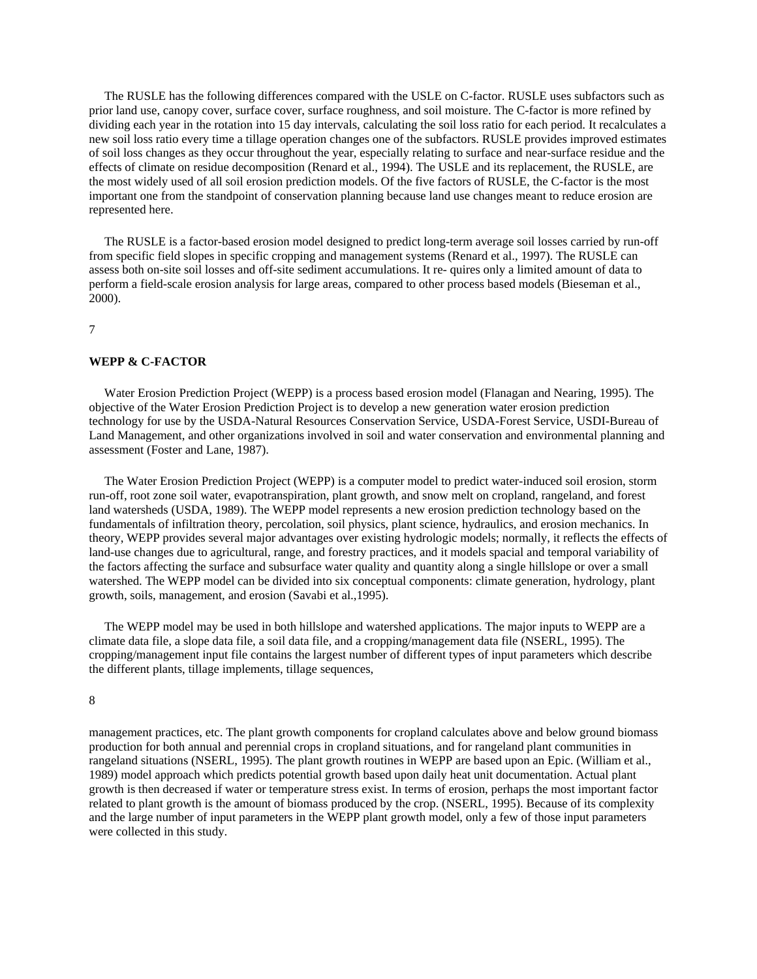The RUSLE has the following differences compared with the USLE on C-factor. RUSLE uses subfactors such as prior land use, canopy cover, surface cover, surface roughness, and soil moisture. The C-factor is more refined by dividing each year in the rotation into 15 day intervals, calculating the soil loss ratio for each period. It recalculates a new soil loss ratio every time a tillage operation changes one of the subfactors. RUSLE provides improved estimates of soil loss changes as they occur throughout the year, especially relating to surface and near-surface residue and the effects of climate on residue decomposition (Renard et al., 1994). The USLE and its replacement, the RUSLE, are the most widely used of all soil erosion prediction models. Of the five factors of RUSLE, the C-factor is the most important one from the standpoint of conservation planning because land use changes meant to reduce erosion are represented here.

 The RUSLE is a factor-based erosion model designed to predict long-term average soil losses carried by run-off from specific field slopes in specific cropping and management systems (Renard et al., 1997). The RUSLE can assess both on-site soil losses and off-site sediment accumulations. It re- quires only a limited amount of data to perform a field-scale erosion analysis for large areas, compared to other process based models (Bieseman et al., 2000).

7

#### **WEPP & C-FACTOR**

 Water Erosion Prediction Project (WEPP) is a process based erosion model (Flanagan and Nearing, 1995). The objective of the Water Erosion Prediction Project is to develop a new generation water erosion prediction technology for use by the USDA-Natural Resources Conservation Service, USDA-Forest Service, USDI-Bureau of Land Management, and other organizations involved in soil and water conservation and environmental planning and assessment (Foster and Lane, 1987).

 The Water Erosion Prediction Project (WEPP) is a computer model to predict water-induced soil erosion, storm run-off, root zone soil water, evapotranspiration, plant growth, and snow melt on cropland, rangeland, and forest land watersheds (USDA, 1989). The WEPP model represents a new erosion prediction technology based on the fundamentals of infiltration theory, percolation, soil physics, plant science, hydraulics, and erosion mechanics. In theory, WEPP provides several major advantages over existing hydrologic models; normally, it reflects the effects of land-use changes due to agricultural, range, and forestry practices, and it models spacial and temporal variability of the factors affecting the surface and subsurface water quality and quantity along a single hillslope or over a small watershed. The WEPP model can be divided into six conceptual components: climate generation, hydrology, plant growth, soils, management, and erosion (Savabi et al.,1995).

 The WEPP model may be used in both hillslope and watershed applications. The major inputs to WEPP are a climate data file, a slope data file, a soil data file, and a cropping/management data file (NSERL, 1995). The cropping/management input file contains the largest number of different types of input parameters which describe the different plants, tillage implements, tillage sequences,

### 8

management practices, etc. The plant growth components for cropland calculates above and below ground biomass production for both annual and perennial crops in cropland situations, and for rangeland plant communities in rangeland situations (NSERL, 1995). The plant growth routines in WEPP are based upon an Epic. (William et al., 1989) model approach which predicts potential growth based upon daily heat unit documentation. Actual plant growth is then decreased if water or temperature stress exist. In terms of erosion, perhaps the most important factor related to plant growth is the amount of biomass produced by the crop. (NSERL, 1995). Because of its complexity and the large number of input parameters in the WEPP plant growth model, only a few of those input parameters were collected in this study.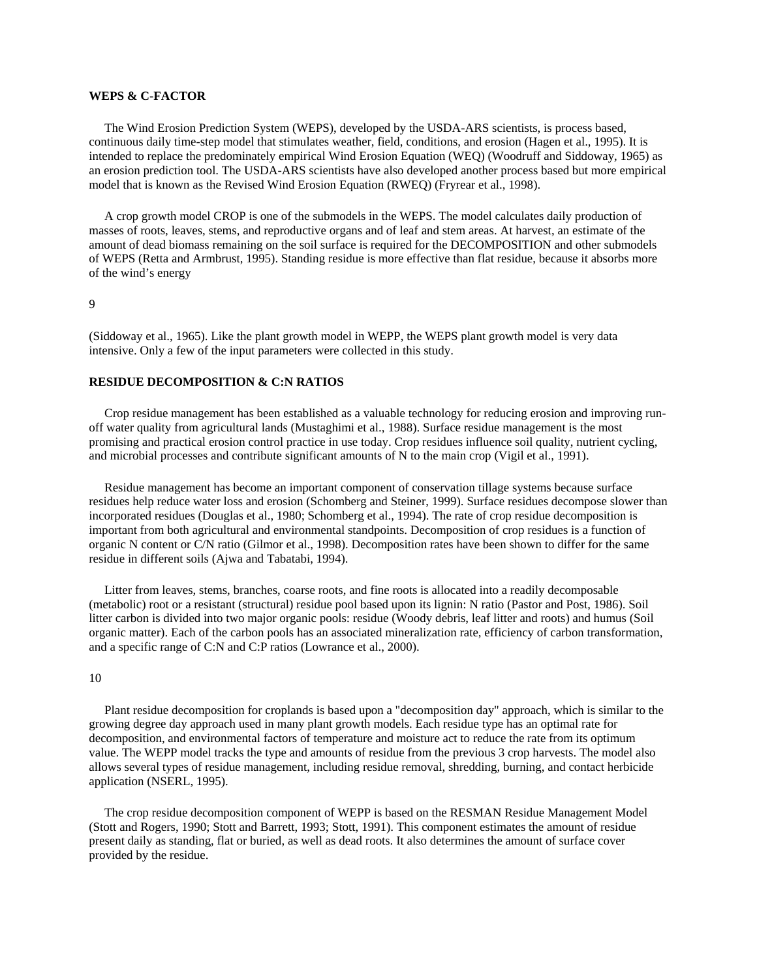## **WEPS & C-FACTOR**

 The Wind Erosion Prediction System (WEPS), developed by the USDA-ARS scientists, is process based, continuous daily time-step model that stimulates weather, field, conditions, and erosion (Hagen et al., 1995). It is intended to replace the predominately empirical Wind Erosion Equation (WEQ) (Woodruff and Siddoway, 1965) as an erosion prediction tool. The USDA-ARS scientists have also developed another process based but more empirical model that is known as the Revised Wind Erosion Equation (RWEQ) (Fryrear et al., 1998).

 A crop growth model CROP is one of the submodels in the WEPS. The model calculates daily production of masses of roots, leaves, stems, and reproductive organs and of leaf and stem areas. At harvest, an estimate of the amount of dead biomass remaining on the soil surface is required for the DECOMPOSITION and other submodels of WEPS (Retta and Armbrust, 1995). Standing residue is more effective than flat residue, because it absorbs more of the wind's energy

### 9

(Siddoway et al., 1965). Like the plant growth model in WEPP, the WEPS plant growth model is very data intensive. Only a few of the input parameters were collected in this study.

## **RESIDUE DECOMPOSITION & C:N RATIOS**

 Crop residue management has been established as a valuable technology for reducing erosion and improving runoff water quality from agricultural lands (Mustaghimi et al., 1988). Surface residue management is the most promising and practical erosion control practice in use today. Crop residues influence soil quality, nutrient cycling, and microbial processes and contribute significant amounts of N to the main crop (Vigil et al., 1991).

 Residue management has become an important component of conservation tillage systems because surface residues help reduce water loss and erosion (Schomberg and Steiner, 1999). Surface residues decompose slower than incorporated residues (Douglas et al., 1980; Schomberg et al., 1994). The rate of crop residue decomposition is important from both agricultural and environmental standpoints. Decomposition of crop residues is a function of organic N content or C/N ratio (Gilmor et al., 1998). Decomposition rates have been shown to differ for the same residue in different soils (Ajwa and Tabatabi, 1994).

 Litter from leaves, stems, branches, coarse roots, and fine roots is allocated into a readily decomposable (metabolic) root or a resistant (structural) residue pool based upon its lignin: N ratio (Pastor and Post, 1986). Soil litter carbon is divided into two major organic pools: residue (Woody debris, leaf litter and roots) and humus (Soil organic matter). Each of the carbon pools has an associated mineralization rate, efficiency of carbon transformation, and a specific range of C:N and C:P ratios (Lowrance et al., 2000).

#### 10

 Plant residue decomposition for croplands is based upon a "decomposition day" approach, which is similar to the growing degree day approach used in many plant growth models. Each residue type has an optimal rate for decomposition, and environmental factors of temperature and moisture act to reduce the rate from its optimum value. The WEPP model tracks the type and amounts of residue from the previous 3 crop harvests. The model also allows several types of residue management, including residue removal, shredding, burning, and contact herbicide application (NSERL, 1995).

 The crop residue decomposition component of WEPP is based on the RESMAN Residue Management Model (Stott and Rogers, 1990; Stott and Barrett, 1993; Stott, 1991). This component estimates the amount of residue present daily as standing, flat or buried, as well as dead roots. It also determines the amount of surface cover provided by the residue.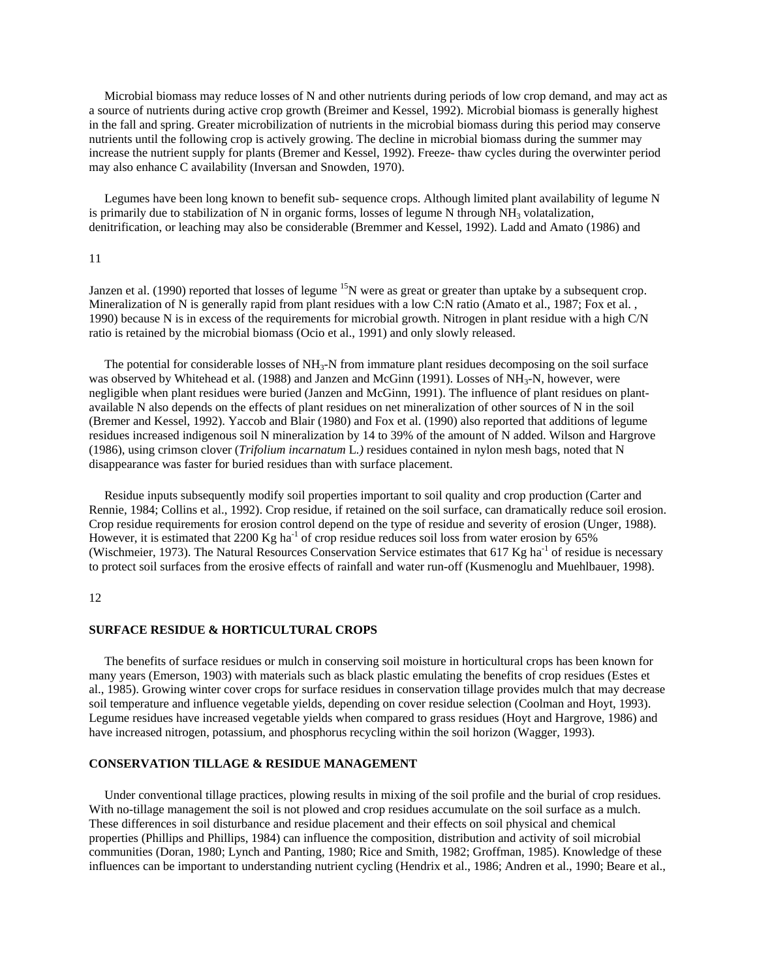Microbial biomass may reduce losses of N and other nutrients during periods of low crop demand, and may act as a source of nutrients during active crop growth (Breimer and Kessel, 1992). Microbial biomass is generally highest in the fall and spring. Greater microbilization of nutrients in the microbial biomass during this period may conserve nutrients until the following crop is actively growing. The decline in microbial biomass during the summer may increase the nutrient supply for plants (Bremer and Kessel, 1992). Freeze- thaw cycles during the overwinter period may also enhance C availability (Inversan and Snowden, 1970).

 Legumes have been long known to benefit sub- sequence crops. Although limited plant availability of legume N is primarily due to stabilization of N in organic forms, losses of legume N through  $NH<sub>3</sub>$  volatalization, denitrification, or leaching may also be considerable (Bremmer and Kessel, 1992). Ladd and Amato (1986) and

### 11

Janzen et al. (1990) reported that losses of legume <sup>15</sup>N were as great or greater than uptake by a subsequent crop. Mineralization of N is generally rapid from plant residues with a low C:N ratio (Amato et al., 1987; Fox et al., 1990) because N is in excess of the requirements for microbial growth. Nitrogen in plant residue with a high C/N ratio is retained by the microbial biomass (Ocio et al., 1991) and only slowly released.

The potential for considerable losses of  $NH<sub>3</sub>-N$  from immature plant residues decomposing on the soil surface was observed by Whitehead et al. (1988) and Janzen and McGinn (1991). Losses of NH<sub>3</sub>-N, however, were negligible when plant residues were buried (Janzen and McGinn, 1991). The influence of plant residues on plantavailable N also depends on the effects of plant residues on net mineralization of other sources of N in the soil (Bremer and Kessel, 1992). Yaccob and Blair (1980) and Fox et al. (1990) also reported that additions of legume residues increased indigenous soil N mineralization by 14 to 39% of the amount of N added. Wilson and Hargrove (1986), using crimson clover (*Trifolium incarnatum* L*.)* residues contained in nylon mesh bags, noted that N disappearance was faster for buried residues than with surface placement.

 Residue inputs subsequently modify soil properties important to soil quality and crop production (Carter and Rennie, 1984; Collins et al., 1992). Crop residue, if retained on the soil surface, can dramatically reduce soil erosion. Crop residue requirements for erosion control depend on the type of residue and severity of erosion (Unger, 1988). However, it is estimated that 2200 Kg ha<sup>-1</sup> of crop residue reduces soil loss from water erosion by  $65\%$ (Wischmeier, 1973). The Natural Resources Conservation Service estimates that 617 Kg ha<sup>-1</sup> of residue is necessary to protect soil surfaces from the erosive effects of rainfall and water run-off (Kusmenoglu and Muehlbauer, 1998).

## 12

#### **SURFACE RESIDUE & HORTICULTURAL CROPS**

 The benefits of surface residues or mulch in conserving soil moisture in horticultural crops has been known for many years (Emerson, 1903) with materials such as black plastic emulating the benefits of crop residues (Estes et al., 1985). Growing winter cover crops for surface residues in conservation tillage provides mulch that may decrease soil temperature and influence vegetable yields, depending on cover residue selection (Coolman and Hoyt, 1993). Legume residues have increased vegetable yields when compared to grass residues (Hoyt and Hargrove, 1986) and have increased nitrogen, potassium, and phosphorus recycling within the soil horizon (Wagger, 1993).

#### **CONSERVATION TILLAGE & RESIDUE MANAGEMENT**

 Under conventional tillage practices, plowing results in mixing of the soil profile and the burial of crop residues. With no-tillage management the soil is not plowed and crop residues accumulate on the soil surface as a mulch. These differences in soil disturbance and residue placement and their effects on soil physical and chemical properties (Phillips and Phillips, 1984) can influence the composition, distribution and activity of soil microbial communities (Doran, 1980; Lynch and Panting, 1980; Rice and Smith, 1982; Groffman, 1985). Knowledge of these influences can be important to understanding nutrient cycling (Hendrix et al., 1986; Andren et al., 1990; Beare et al.,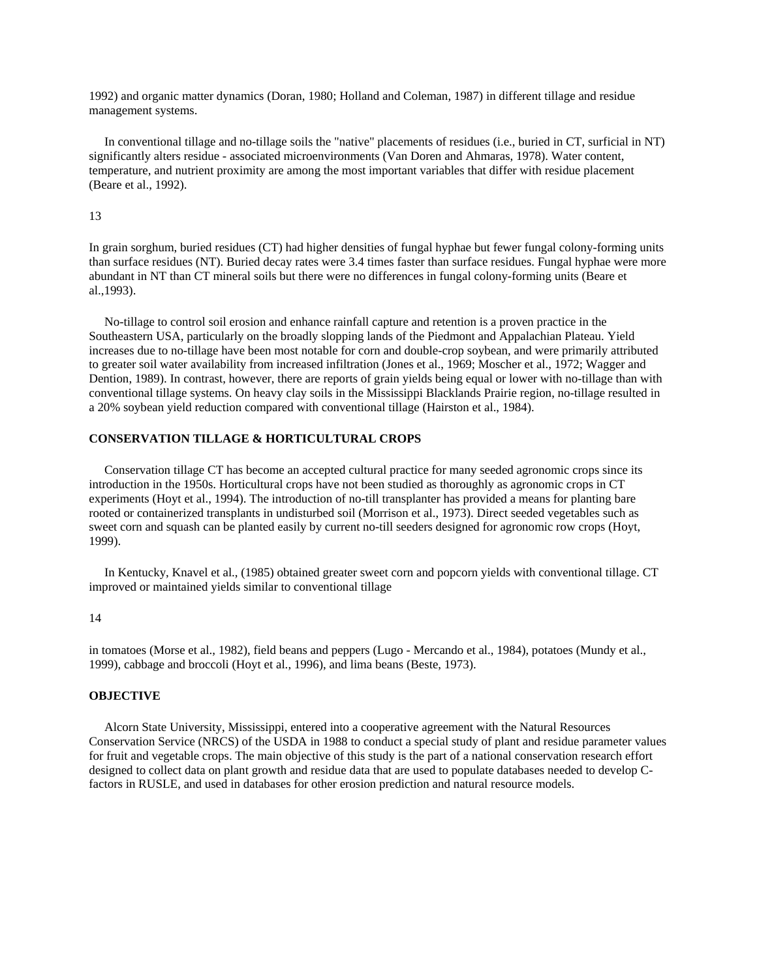1992) and organic matter dynamics (Doran, 1980; Holland and Coleman, 1987) in different tillage and residue management systems.

 In conventional tillage and no-tillage soils the "native" placements of residues (i.e., buried in CT, surficial in NT) significantly alters residue - associated microenvironments (Van Doren and Ahmaras, 1978). Water content, temperature, and nutrient proximity are among the most important variables that differ with residue placement (Beare et al., 1992).

## 13

In grain sorghum, buried residues (CT) had higher densities of fungal hyphae but fewer fungal colony-forming units than surface residues (NT). Buried decay rates were 3.4 times faster than surface residues. Fungal hyphae were more abundant in NT than CT mineral soils but there were no differences in fungal colony-forming units (Beare et al.,1993).

 No-tillage to control soil erosion and enhance rainfall capture and retention is a proven practice in the Southeastern USA, particularly on the broadly slopping lands of the Piedmont and Appalachian Plateau. Yield increases due to no-tillage have been most notable for corn and double-crop soybean, and were primarily attributed to greater soil water availability from increased infiltration (Jones et al., 1969; Moscher et al., 1972; Wagger and Dention, 1989). In contrast, however, there are reports of grain yields being equal or lower with no-tillage than with conventional tillage systems. On heavy clay soils in the Mississippi Blacklands Prairie region, no-tillage resulted in a 20% soybean yield reduction compared with conventional tillage (Hairston et al., 1984).

# **CONSERVATION TILLAGE & HORTICULTURAL CROPS**

 Conservation tillage CT has become an accepted cultural practice for many seeded agronomic crops since its introduction in the 1950s. Horticultural crops have not been studied as thoroughly as agronomic crops in CT experiments (Hoyt et al., 1994). The introduction of no-till transplanter has provided a means for planting bare rooted or containerized transplants in undisturbed soil (Morrison et al., 1973). Direct seeded vegetables such as sweet corn and squash can be planted easily by current no-till seeders designed for agronomic row crops (Hoyt, 1999).

 In Kentucky, Knavel et al., (1985) obtained greater sweet corn and popcorn yields with conventional tillage. CT improved or maintained yields similar to conventional tillage

## 14

in tomatoes (Morse et al., 1982), field beans and peppers (Lugo - Mercando et al., 1984), potatoes (Mundy et al., 1999), cabbage and broccoli (Hoyt et al., 1996), and lima beans (Beste, 1973).

## **OBJECTIVE**

 Alcorn State University, Mississippi, entered into a cooperative agreement with the Natural Resources Conservation Service (NRCS) of the USDA in 1988 to conduct a special study of plant and residue parameter values for fruit and vegetable crops. The main objective of this study is the part of a national conservation research effort designed to collect data on plant growth and residue data that are used to populate databases needed to develop Cfactors in RUSLE, and used in databases for other erosion prediction and natural resource models.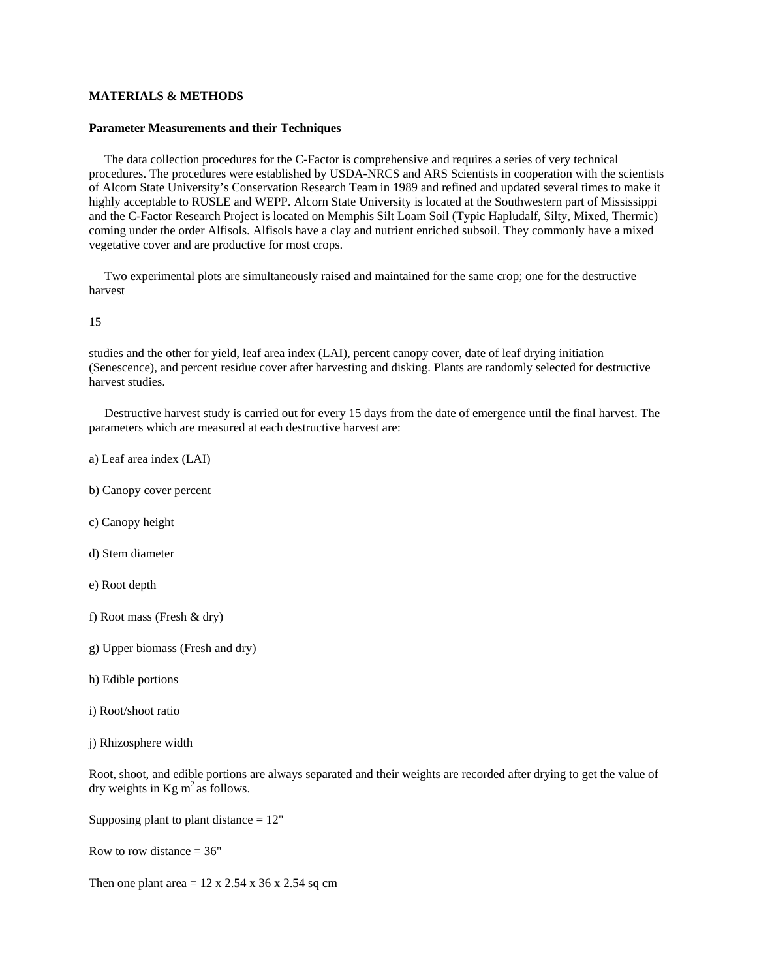## **MATERIALS & METHODS**

#### **Parameter Measurements and their Techniques**

 The data collection procedures for the C-Factor is comprehensive and requires a series of very technical procedures. The procedures were established by USDA-NRCS and ARS Scientists in cooperation with the scientists of Alcorn State University's Conservation Research Team in 1989 and refined and updated several times to make it highly acceptable to RUSLE and WEPP. Alcorn State University is located at the Southwestern part of Mississippi and the C-Factor Research Project is located on Memphis Silt Loam Soil (Typic Hapludalf, Silty, Mixed, Thermic) coming under the order Alfisols. Alfisols have a clay and nutrient enriched subsoil. They commonly have a mixed vegetative cover and are productive for most crops.

 Two experimental plots are simultaneously raised and maintained for the same crop; one for the destructive harvest

15

studies and the other for yield, leaf area index (LAI), percent canopy cover, date of leaf drying initiation (Senescence), and percent residue cover after harvesting and disking. Plants are randomly selected for destructive harvest studies.

 Destructive harvest study is carried out for every 15 days from the date of emergence until the final harvest. The parameters which are measured at each destructive harvest are:

- a) Leaf area index (LAI)
- b) Canopy cover percent
- c) Canopy height
- d) Stem diameter
- e) Root depth
- f) Root mass (Fresh & dry)
- g) Upper biomass (Fresh and dry)
- h) Edible portions
- i) Root/shoot ratio
- j) Rhizosphere width

Root, shoot, and edible portions are always separated and their weights are recorded after drying to get the value of dry weights in  $Kg$  m<sup>2</sup> as follows.

Supposing plant to plant distance  $= 12$ "

Row to row distance  $= 36"$ 

Then one plant area  $= 12 \times 2.54 \times 36 \times 2.54$  sq cm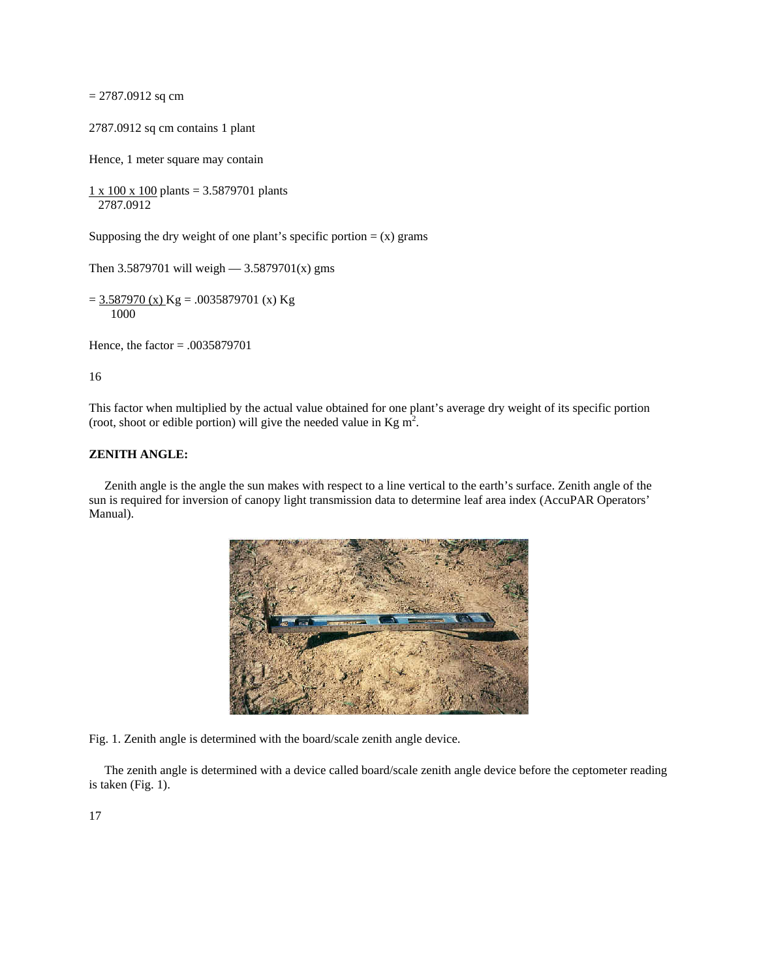$= 2787.0912$  sq cm

2787.0912 sq cm contains 1 plant

Hence, 1 meter square may contain

 $1 \times 100 \times 100$  plants = 3.5879701 plants 2787.0912

Supposing the dry weight of one plant's specific portion  $= (x)$  grams

Then 3.5879701 will weigh  $-$  3.5879701(x) gms

 $= 3.587970$  (x) Kg = .0035879701 (x) Kg 1000

Hence, the factor = .0035879701

16

This factor when multiplied by the actual value obtained for one plant's average dry weight of its specific portion (root, shoot or edible portion) will give the needed value in Kg  $m^2$ .

### **ZENITH ANGLE:**

 Zenith angle is the angle the sun makes with respect to a line vertical to the earth's surface. Zenith angle of the sun is required for inversion of canopy light transmission data to determine leaf area index (AccuPAR Operators' Manual).



Fig. 1. Zenith angle is determined with the board/scale zenith angle device.

 The zenith angle is determined with a device called board/scale zenith angle device before the ceptometer reading is taken (Fig. 1).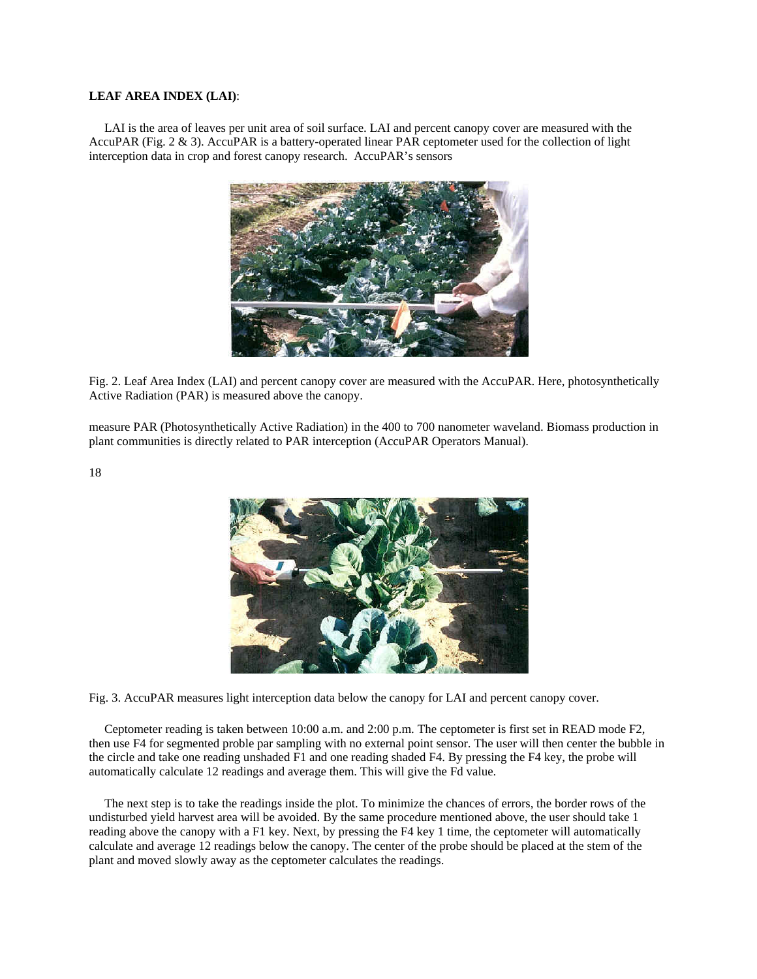## **LEAF AREA INDEX (LAI)**:

 LAI is the area of leaves per unit area of soil surface. LAI and percent canopy cover are measured with the AccuPAR (Fig. 2 & 3). AccuPAR is a battery-operated linear PAR ceptometer used for the collection of light interception data in crop and forest canopy research. AccuPAR's sensors



Fig. 2. Leaf Area Index (LAI) and percent canopy cover are measured with the AccuPAR. Here, photosynthetically Active Radiation (PAR) is measured above the canopy.

measure PAR (Photosynthetically Active Radiation) in the 400 to 700 nanometer waveland. Biomass production in plant communities is directly related to PAR interception (AccuPAR Operators Manual).

18



Fig. 3. AccuPAR measures light interception data below the canopy for LAI and percent canopy cover.

 Ceptometer reading is taken between 10:00 a.m. and 2:00 p.m. The ceptometer is first set in READ mode F2, then use F4 for segmented proble par sampling with no external point sensor. The user will then center the bubble in the circle and take one reading unshaded F1 and one reading shaded F4. By pressing the F4 key, the probe will automatically calculate 12 readings and average them. This will give the Fd value.

 The next step is to take the readings inside the plot. To minimize the chances of errors, the border rows of the undisturbed yield harvest area will be avoided. By the same procedure mentioned above, the user should take 1 reading above the canopy with a F1 key. Next, by pressing the F4 key 1 time, the ceptometer will automatically calculate and average 12 readings below the canopy. The center of the probe should be placed at the stem of the plant and moved slowly away as the ceptometer calculates the readings.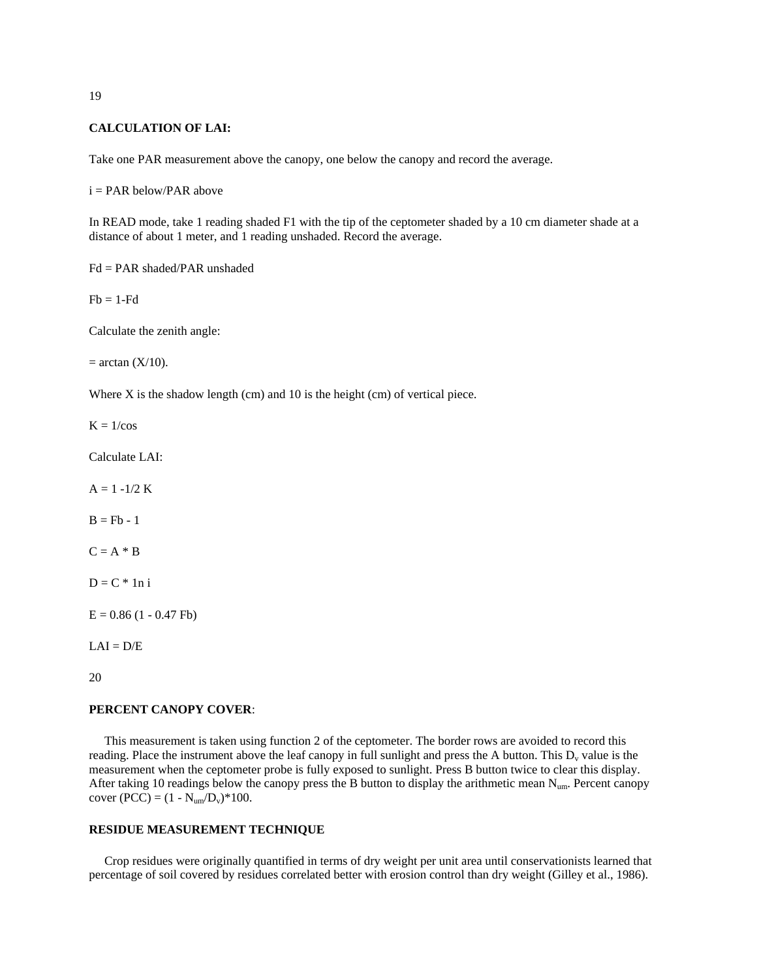## **CALCULATION OF LAI:**

Take one PAR measurement above the canopy, one below the canopy and record the average.

 $i = PAR$  below/PAR above

In READ mode, take 1 reading shaded F1 with the tip of the ceptometer shaded by a 10 cm diameter shade at a distance of about 1 meter, and 1 reading unshaded. Record the average.

Fd = PAR shaded/PAR unshaded

 $Fb = 1-Fd$ 

Calculate the zenith angle:

 $=$  arctan  $(X/10)$ .

Where X is the shadow length (cm) and 10 is the height (cm) of vertical piece.

 $K = 1/cos$ 

Calculate LAI:

 $A = 1 - 1/2 K$ 

 $B = Fb - 1$ 

 $C = A * B$ 

 $D = C * 1n i$ 

 $E = 0.86$  (1 - 0.47 Fb)

 $LAI = D/E$ 

20

## **PERCENT CANOPY COVER**:

 This measurement is taken using function 2 of the ceptometer. The border rows are avoided to record this reading. Place the instrument above the leaf canopy in full sunlight and press the A button. This  $D_v$  value is the measurement when the ceptometer probe is fully exposed to sunlight. Press B button twice to clear this display. After taking 10 readings below the canopy press the B button to display the arithmetic mean  $N_{um}$ . Percent canopy cover  $(PCC) = (1 - N_{um}/D_v)^*100$ .

# **RESIDUE MEASUREMENT TECHNIQUE**

 Crop residues were originally quantified in terms of dry weight per unit area until conservationists learned that percentage of soil covered by residues correlated better with erosion control than dry weight (Gilley et al., 1986).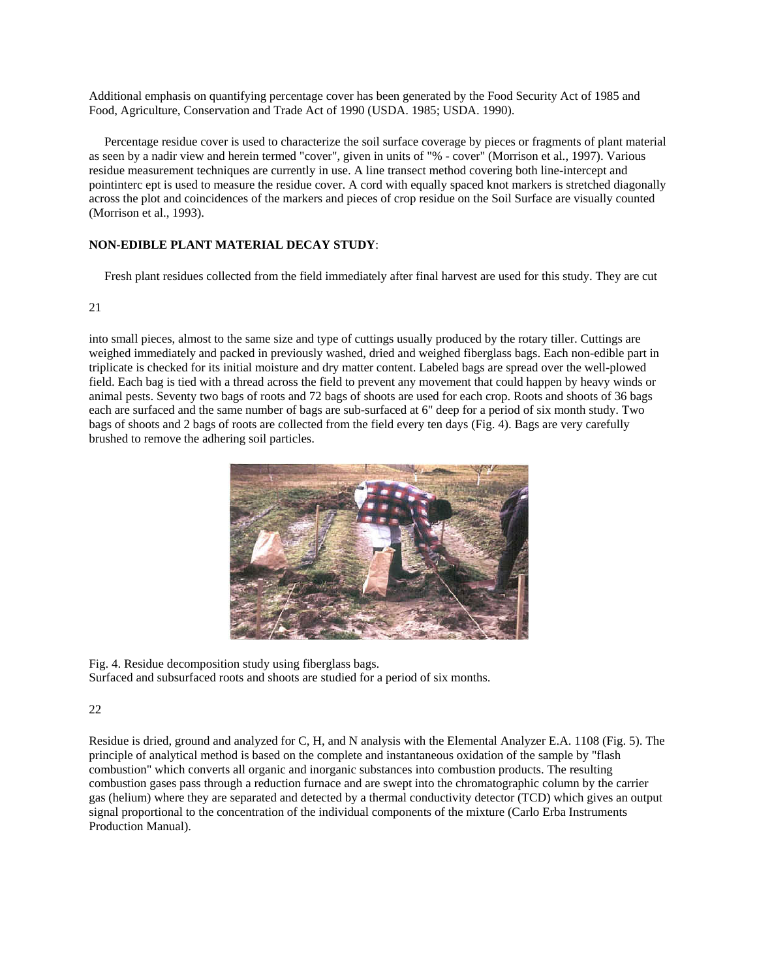Additional emphasis on quantifying percentage cover has been generated by the Food Security Act of 1985 and Food, Agriculture, Conservation and Trade Act of 1990 (USDA. 1985; USDA. 1990).

 Percentage residue cover is used to characterize the soil surface coverage by pieces or fragments of plant material as seen by a nadir view and herein termed "cover", given in units of "% - cover" (Morrison et al., 1997). Various residue measurement techniques are currently in use. A line transect method covering both line-intercept and pointinterc ept is used to measure the residue cover. A cord with equally spaced knot markers is stretched diagonally across the plot and coincidences of the markers and pieces of crop residue on the Soil Surface are visually counted (Morrison et al., 1993).

# **NON-EDIBLE PLANT MATERIAL DECAY STUDY**:

Fresh plant residues collected from the field immediately after final harvest are used for this study. They are cut

## 21

into small pieces, almost to the same size and type of cuttings usually produced by the rotary tiller. Cuttings are weighed immediately and packed in previously washed, dried and weighed fiberglass bags. Each non-edible part in triplicate is checked for its initial moisture and dry matter content. Labeled bags are spread over the well-plowed field. Each bag is tied with a thread across the field to prevent any movement that could happen by heavy winds or animal pests. Seventy two bags of roots and 72 bags of shoots are used for each crop. Roots and shoots of 36 bags each are surfaced and the same number of bags are sub-surfaced at 6" deep for a period of six month study. Two bags of shoots and 2 bags of roots are collected from the field every ten days (Fig. 4). Bags are very carefully brushed to remove the adhering soil particles.



Fig. 4. Residue decomposition study using fiberglass bags. Surfaced and subsurfaced roots and shoots are studied for a period of six months.

## 22

Residue is dried, ground and analyzed for C, H, and N analysis with the Elemental Analyzer E.A. 1108 (Fig. 5). The principle of analytical method is based on the complete and instantaneous oxidation of the sample by "flash combustion" which converts all organic and inorganic substances into combustion products. The resulting combustion gases pass through a reduction furnace and are swept into the chromatographic column by the carrier gas (helium) where they are separated and detected by a thermal conductivity detector (TCD) which gives an output signal proportional to the concentration of the individual components of the mixture (Carlo Erba Instruments Production Manual).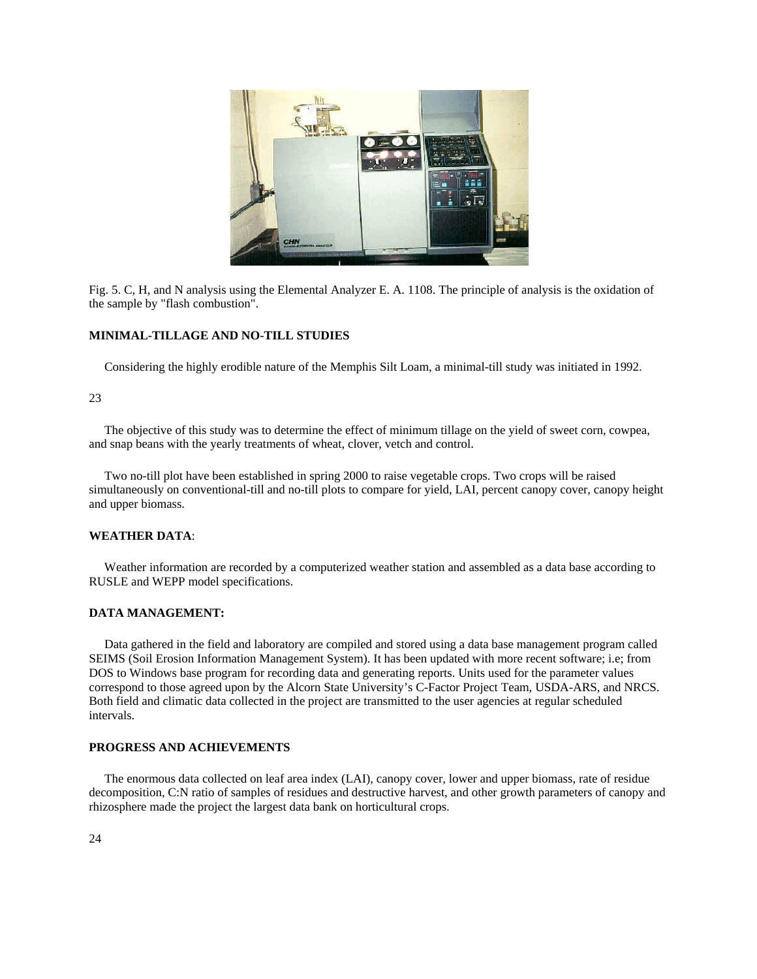

Fig. 5. C, H, and N analysis using the Elemental Analyzer E. A. 1108. The principle of analysis is the oxidation of the sample by "flash combustion".

## **MINIMAL-TILLAGE AND NO-TILL STUDIES**

Considering the highly erodible nature of the Memphis Silt Loam, a minimal-till study was initiated in 1992.

#### 23

 The objective of this study was to determine the effect of minimum tillage on the yield of sweet corn, cowpea, and snap beans with the yearly treatments of wheat, clover, vetch and control.

 Two no-till plot have been established in spring 2000 to raise vegetable crops. Two crops will be raised simultaneously on conventional-till and no-till plots to compare for yield, LAI, percent canopy cover, canopy height and upper biomass.

### **WEATHER DATA**:

 Weather information are recorded by a computerized weather station and assembled as a data base according to RUSLE and WEPP model specifications.

#### **DATA MANAGEMENT:**

 Data gathered in the field and laboratory are compiled and stored using a data base management program called SEIMS (Soil Erosion Information Management System). It has been updated with more recent software; i.e; from DOS to Windows base program for recording data and generating reports. Units used for the parameter values correspond to those agreed upon by the Alcorn State University's C-Factor Project Team, USDA-ARS, and NRCS. Both field and climatic data collected in the project are transmitted to the user agencies at regular scheduled intervals.

### **PROGRESS AND ACHIEVEMENTS**

 The enormous data collected on leaf area index (LAI), canopy cover, lower and upper biomass, rate of residue decomposition, C:N ratio of samples of residues and destructive harvest, and other growth parameters of canopy and rhizosphere made the project the largest data bank on horticultural crops.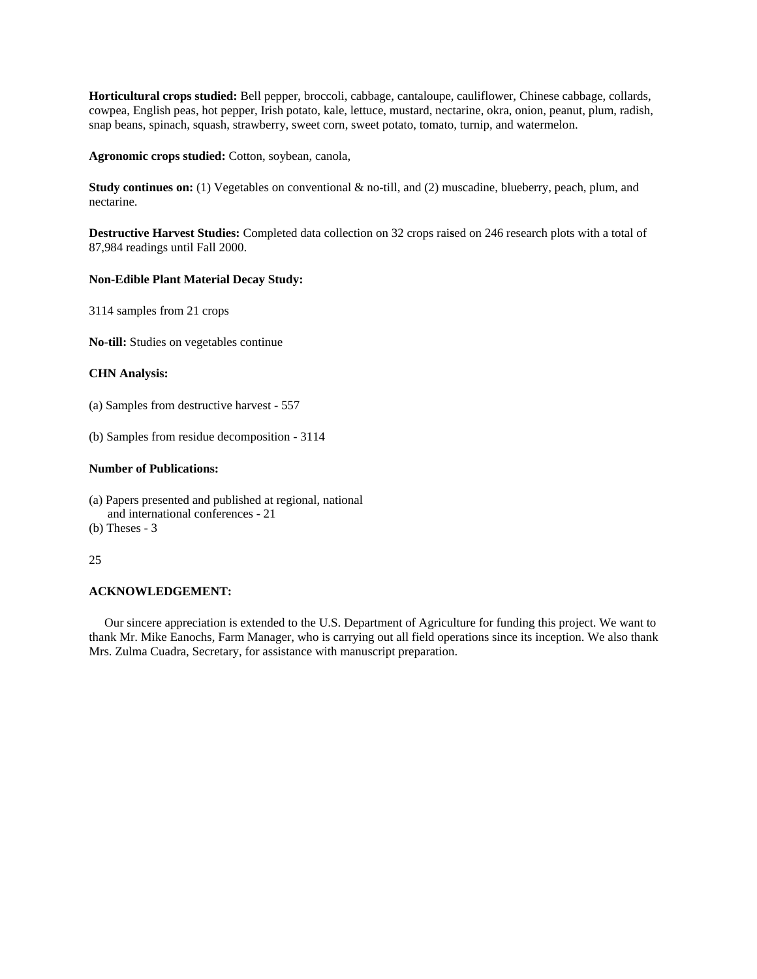**Horticultural crops studied:** Bell pepper, broccoli, cabbage, cantaloupe, cauliflower, Chinese cabbage, collards, cowpea, English peas, hot pepper, Irish potato, kale, lettuce, mustard, nectarine, okra, onion, peanut, plum, radish, snap beans, spinach, squash, strawberry, sweet corn, sweet potato, tomato, turnip, and watermelon.

**Agronomic crops studied:** Cotton, soybean, canola,

**Study continues on:** (1) Vegetables on conventional & no-till, and (2) muscadine, blueberry, peach, plum, and nectarine.

**Destructive Harvest Studies:** Completed data collection on 32 crops rai**s**ed on 246 research plots with a total of 87,984 readings until Fall 2000.

## **Non-Edible Plant Material Decay Study:**

3114 samples from 21 crops

**No-till:** Studies on vegetables continue

## **CHN Analysis:**

(a) Samples from destructive harvest - 557

(b) Samples from residue decomposition - 3114

# **Number of Publications:**

- (a) Papers presented and published at regional, national and international conferences - 21
- (b) Theses 3

## 25

## **ACKNOWLEDGEMENT:**

 Our sincere appreciation is extended to the U.S. Department of Agriculture for funding this project. We want to thank Mr. Mike Eanochs, Farm Manager, who is carrying out all field operations since its inception. We also thank Mrs. Zulma Cuadra, Secretary, for assistance with manuscript preparation.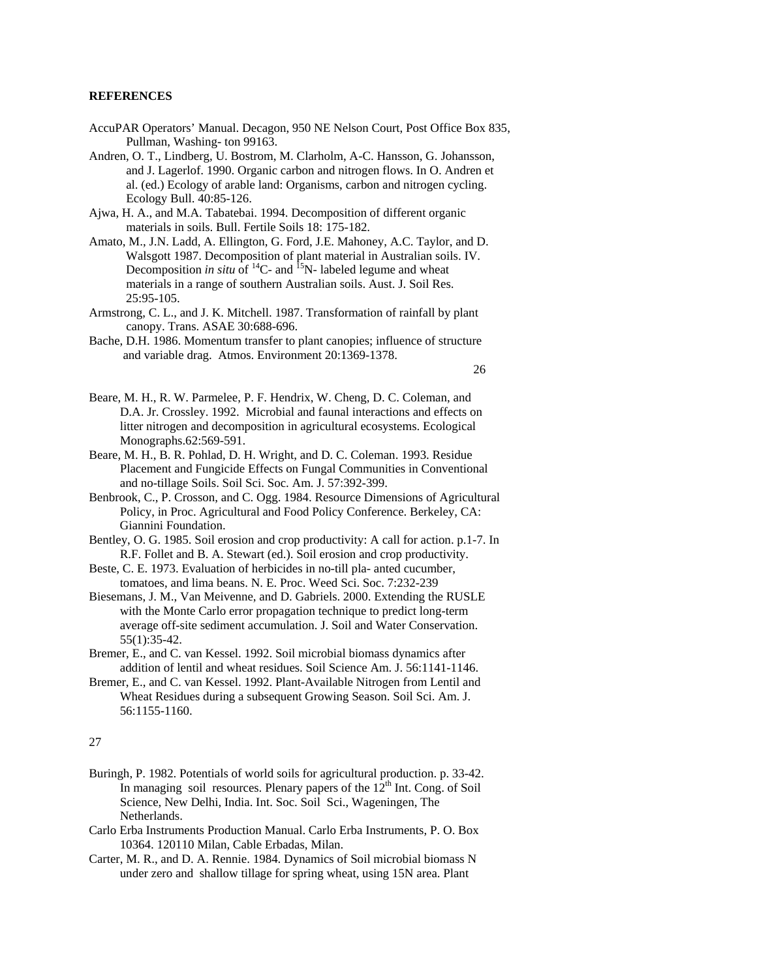# **REFERENCES**

- AccuPAR Operators' Manual. Decagon, 950 NE Nelson Court, Post Office Box 835, Pullman, Washing- ton 99163.
- Andren, O. T., Lindberg, U. Bostrom, M. Clarholm, A-C. Hansson, G. Johansson, and J. Lagerlof. 1990. Organic carbon and nitrogen flows. In O. Andren et al. (ed.) Ecology of arable land: Organisms, carbon and nitrogen cycling. Ecology Bull. 40:85-126.
- Ajwa, H. A., and M.A. Tabatebai. 1994. Decomposition of different organic materials in soils. Bull. Fertile Soils 18: 175-182.
- Amato, M., J.N. Ladd, A. Ellington, G. Ford, J.E. Mahoney, A.C. Taylor, and D. Walsgott 1987. Decomposition of plant material in Australian soils. IV. Decomposition *in situ* of  $^{14}C$ - and  $^{15}N$ - labeled legume and wheat materials in a range of southern Australian soils. Aust. J. Soil Res. 25:95-105.
- Armstrong, C. L., and J. K. Mitchell. 1987. Transformation of rainfall by plant canopy. Trans. ASAE 30:688-696.
- Bache, D.H. 1986. Momentum transfer to plant canopies; influence of structure and variable drag. Atmos. Environment 20:1369-1378.

26

- Beare, M. H., R. W. Parmelee, P. F. Hendrix, W. Cheng, D. C. Coleman, and D.A. Jr. Crossley. 1992. Microbial and faunal interactions and effects on litter nitrogen and decomposition in agricultural ecosystems. Ecological Monographs.62:569-591.
- Beare, M. H., B. R. Pohlad, D. H. Wright, and D. C. Coleman. 1993. Residue Placement and Fungicide Effects on Fungal Communities in Conventional and no-tillage Soils. Soil Sci. Soc. Am. J. 57:392-399.
- Benbrook, C., P. Crosson, and C. Ogg. 1984. Resource Dimensions of Agricultural Policy, in Proc. Agricultural and Food Policy Conference. Berkeley, CA: Giannini Foundation.
- Bentley, O. G. 1985. Soil erosion and crop productivity: A call for action. p.1-7. In R.F. Follet and B. A. Stewart (ed.). Soil erosion and crop productivity.
- Beste, C. E. 1973. Evaluation of herbicides in no-till pla- anted cucumber, tomatoes, and lima beans. N. E. Proc. Weed Sci. Soc. 7:232-239
- Biesemans, J. M., Van Meivenne, and D. Gabriels. 2000. Extending the RUSLE with the Monte Carlo error propagation technique to predict long-term average off-site sediment accumulation. J. Soil and Water Conservation. 55(1):35-42.
- Bremer, E., and C. van Kessel. 1992. Soil microbial biomass dynamics after addition of lentil and wheat residues. Soil Science Am. J. 56:1141-1146.
- Bremer, E., and C. van Kessel. 1992. Plant-Available Nitrogen from Lentil and Wheat Residues during a subsequent Growing Season. Soil Sci. Am. J. 56:1155-1160.

- Buringh, P. 1982. Potentials of world soils for agricultural production. p. 33-42. In managing soil resources. Plenary papers of the  $12<sup>th</sup>$  Int. Cong. of Soil Science, New Delhi, India. Int. Soc. Soil Sci., Wageningen, The Netherlands.
- Carlo Erba Instruments Production Manual. Carlo Erba Instruments, P. O. Box 10364. 120110 Milan, Cable Erbadas, Milan.
- Carter, M. R., and D. A. Rennie. 1984. Dynamics of Soil microbial biomass N under zero and shallow tillage for spring wheat, using 15N area. Plant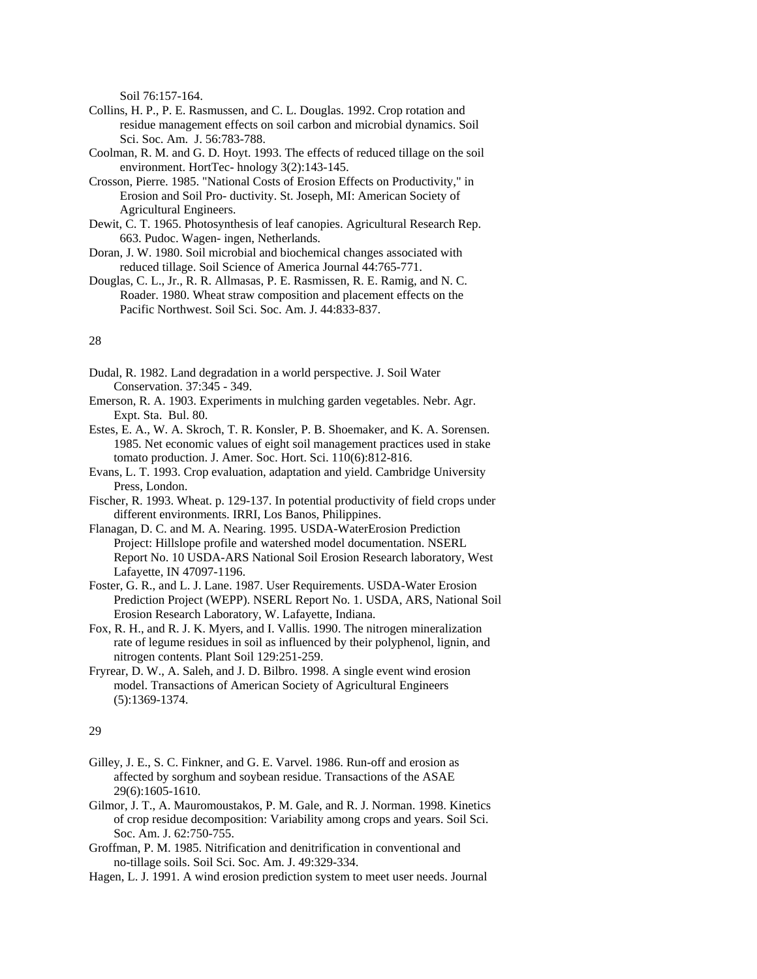Soil 76:157-164.

- Collins, H. P., P. E. Rasmussen, and C. L. Douglas. 1992. Crop rotation and residue management effects on soil carbon and microbial dynamics. Soil Sci. Soc. Am. J. 56:783-788.
- Coolman, R. M. and G. D. Hoyt. 1993. The effects of reduced tillage on the soil environment. HortTec- hnology 3(2):143-145.
- Crosson, Pierre. 1985. "National Costs of Erosion Effects on Productivity," in Erosion and Soil Pro- ductivity. St. Joseph, MI: American Society of Agricultural Engineers.
- Dewit, C. T. 1965. Photosynthesis of leaf canopies. Agricultural Research Rep. 663. Pudoc. Wagen- ingen, Netherlands.
- Doran, J. W. 1980. Soil microbial and biochemical changes associated with reduced tillage. Soil Science of America Journal 44:765-771.
- Douglas, C. L., Jr., R. R. Allmasas, P. E. Rasmissen, R. E. Ramig, and N. C. Roader. 1980. Wheat straw composition and placement effects on the Pacific Northwest. Soil Sci. Soc. Am. J. 44:833-837.

## 28

- Dudal, R. 1982. Land degradation in a world perspective. J. Soil Water Conservation. 37:345 - 349.
- Emerson, R. A. 1903. Experiments in mulching garden vegetables. Nebr. Agr. Expt. Sta. Bul. 80.
- Estes, E. A., W. A. Skroch, T. R. Konsler, P. B. Shoemaker, and K. A. Sorensen. 1985. Net economic values of eight soil management practices used in stake tomato production. J. Amer. Soc. Hort. Sci. 110(6):812-816.
- Evans, L. T. 1993. Crop evaluation, adaptation and yield. Cambridge University Press, London.
- Fischer, R. 1993. Wheat. p. 129-137. In potential productivity of field crops under different environments. IRRI, Los Banos, Philippines.
- Flanagan, D. C. and M. A. Nearing. 1995. USDA-WaterErosion Prediction Project: Hillslope profile and watershed model documentation. NSERL Report No. 10 USDA-ARS National Soil Erosion Research laboratory, West Lafayette, IN 47097-1196.
- Foster, G. R., and L. J. Lane. 1987. User Requirements. USDA-Water Erosion Prediction Project (WEPP). NSERL Report No. 1. USDA, ARS, National Soil Erosion Research Laboratory, W. Lafayette, Indiana.
- Fox, R. H., and R. J. K. Myers, and I. Vallis. 1990. The nitrogen mineralization rate of legume residues in soil as influenced by their polyphenol, lignin, and nitrogen contents. Plant Soil 129:251-259.
- Fryrear, D. W., A. Saleh, and J. D. Bilbro. 1998. A single event wind erosion model. Transactions of American Society of Agricultural Engineers (5):1369-1374.

- Gilley, J. E., S. C. Finkner, and G. E. Varvel. 1986. Run-off and erosion as affected by sorghum and soybean residue. Transactions of the ASAE 29(6):1605-1610.
- Gilmor, J. T., A. Mauromoustakos, P. M. Gale, and R. J. Norman. 1998. Kinetics of crop residue decomposition: Variability among crops and years. Soil Sci. Soc. Am. J. 62:750-755.
- Groffman, P. M. 1985. Nitrification and denitrification in conventional and no-tillage soils. Soil Sci. Soc. Am. J. 49:329-334.
- Hagen, L. J. 1991. A wind erosion prediction system to meet user needs. Journal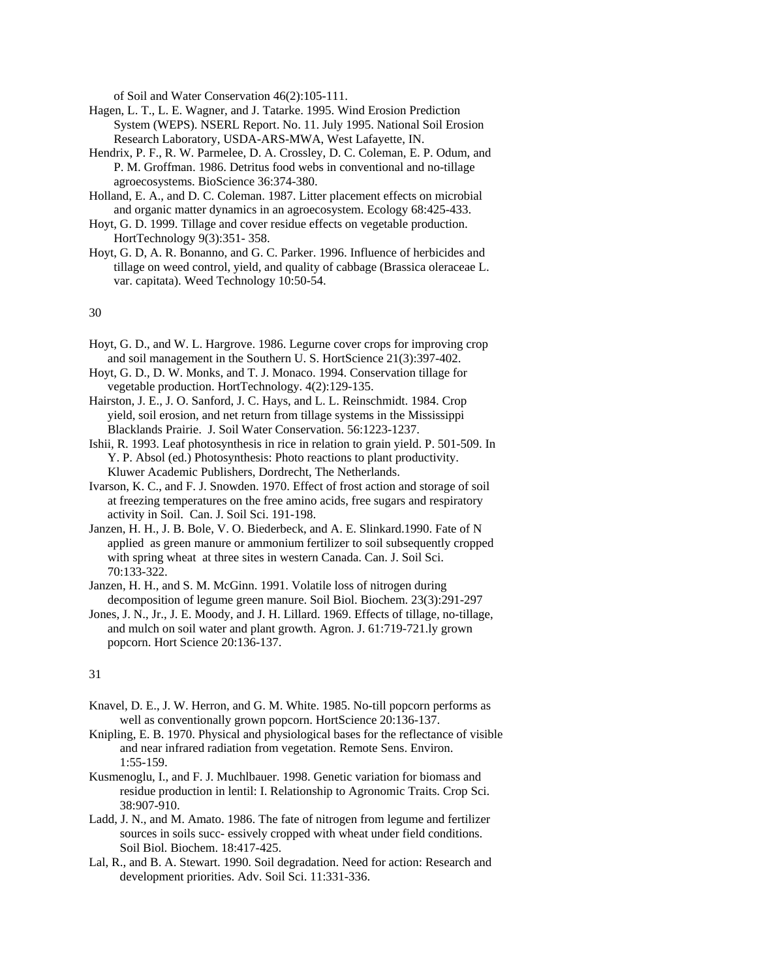of Soil and Water Conservation 46(2):105-111.

- Hagen, L. T., L. E. Wagner, and J. Tatarke. 1995. Wind Erosion Prediction System (WEPS). NSERL Report. No. 11. July 1995. National Soil Erosion Research Laboratory, USDA-ARS-MWA, West Lafayette, IN.
- Hendrix, P. F., R. W. Parmelee, D. A. Crossley, D. C. Coleman, E. P. Odum, and P. M. Groffman. 1986. Detritus food webs in conventional and no-tillage agroecosystems. BioScience 36:374-380.
- Holland, E. A., and D. C. Coleman. 1987. Litter placement effects on microbial and organic matter dynamics in an agroecosystem. Ecology 68:425-433.
- Hoyt, G. D. 1999. Tillage and cover residue effects on vegetable production. HortTechnology 9(3):351- 358.
- Hoyt, G. D, A. R. Bonanno, and G. C. Parker. 1996. Influence of herbicides and tillage on weed control, yield, and quality of cabbage (Brassica oleraceae L. var. capitata). Weed Technology 10:50-54.

30

- Hoyt, G. D., and W. L. Hargrove. 1986. Legurne cover crops for improving crop and soil management in the Southern U. S. HortScience 21(3):397-402.
- Hoyt, G. D., D. W. Monks, and T. J. Monaco. 1994. Conservation tillage for vegetable production. HortTechnology. 4(2):129-135.
- Hairston, J. E., J. O. Sanford, J. C. Hays, and L. L. Reinschmidt. 1984. Crop yield, soil erosion, and net return from tillage systems in the Mississippi Blacklands Prairie. J. Soil Water Conservation. 56:1223-1237.
- Ishii, R. 1993. Leaf photosynthesis in rice in relation to grain yield. P. 501-509. In Y. P. Absol (ed.) Photosynthesis: Photo reactions to plant productivity. Kluwer Academic Publishers, Dordrecht, The Netherlands.
- Ivarson, K. C., and F. J. Snowden. 1970. Effect of frost action and storage of soil at freezing temperatures on the free amino acids, free sugars and respiratory activity in Soil. Can. J. Soil Sci. 191-198.
- Janzen, H. H., J. B. Bole, V. O. Biederbeck, and A. E. Slinkard.1990. Fate of N applied as green manure or ammonium fertilizer to soil subsequently cropped with spring wheat at three sites in western Canada. Can. J. Soil Sci. 70:133-322.
- Janzen, H. H., and S. M. McGinn. 1991. Volatile loss of nitrogen during decomposition of legume green manure. Soil Biol. Biochem. 23(3):291-297
- Jones, J. N., Jr., J. E. Moody, and J. H. Lillard. 1969. Effects of tillage, no-tillage, and mulch on soil water and plant growth. Agron. J. 61:719-721.ly grown popcorn. Hort Science 20:136-137.

- Knavel, D. E., J. W. Herron, and G. M. White. 1985. No-till popcorn performs as well as conventionally grown popcorn. HortScience 20:136-137.
- Knipling, E. B. 1970. Physical and physiological bases for the reflectance of visible and near infrared radiation from vegetation. Remote Sens. Environ. 1:55-159.
- Kusmenoglu, I., and F. J. Muchlbauer. 1998. Genetic variation for biomass and residue production in lentil: I. Relationship to Agronomic Traits. Crop Sci. 38:907-910.
- Ladd, J. N., and M. Amato. 1986. The fate of nitrogen from legume and fertilizer sources in soils succ- essively cropped with wheat under field conditions. Soil Biol. Biochem. 18:417-425.
- Lal, R., and B. A. Stewart. 1990. Soil degradation. Need for action: Research and development priorities. Adv. Soil Sci. 11:331-336.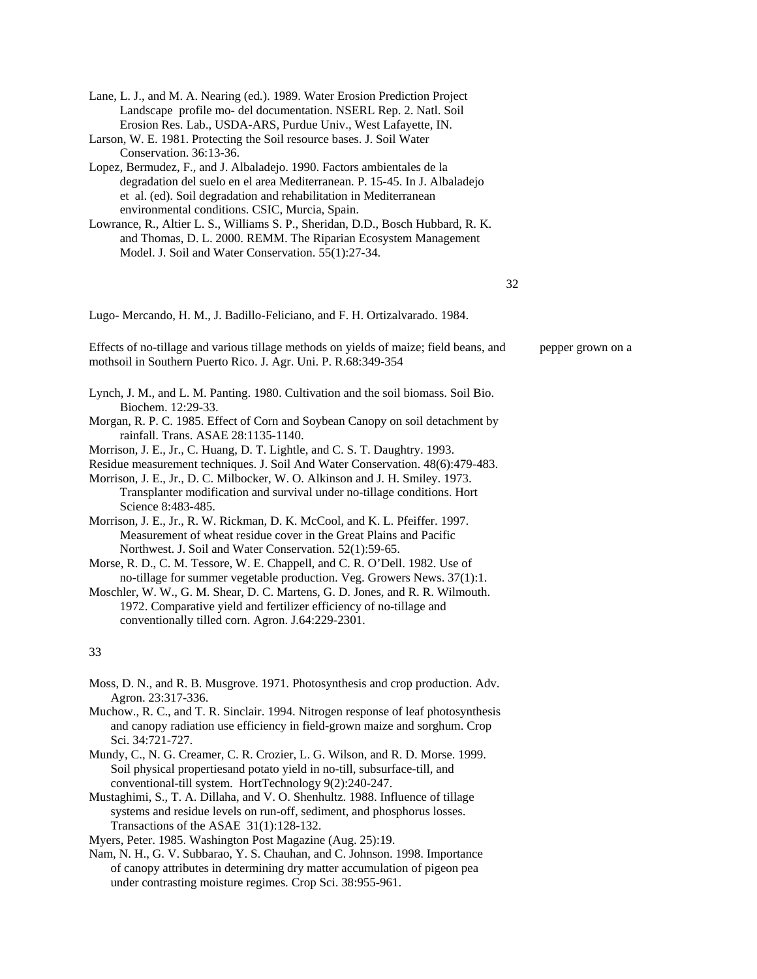| Lane, L. J., and M. A. Nearing (ed.). 1989. Water Erosion Prediction Project |
|------------------------------------------------------------------------------|
| Landscape profile mo- del documentation. NSERL Rep. 2. Natl. Soil            |
| Erosion Res. Lab., USDA-ARS, Purdue Univ., West Lafayette, IN.               |

- Larson, W. E. 1981. Protecting the Soil resource bases. J. Soil Water Conservation. 36:13-36.
- Lopez, Bermudez, F., and J. Albaladejo. 1990. Factors ambientales de la degradation del suelo en el area Mediterranean. P. 15-45. In J. Albaladejo et al. (ed). Soil degradation and rehabilitation in Mediterranean environmental conditions. CSIC, Murcia, Spain.
- Lowrance, R., Altier L. S., Williams S. P., Sheridan, D.D., Bosch Hubbard, R. K. and Thomas, D. L. 2000. REMM. The Riparian Ecosystem Management Model. J. Soil and Water Conservation. 55(1):27-34.

#### 32

Lugo- Mercando, H. M., J. Badillo-Feliciano, and F. H. Ortizalvarado. 1984.

Effects of no-tillage and various tillage methods on yields of maize; field beans, and pepper grown on a mothsoil in Southern Puerto Rico. J. Agr. Uni. P. R.68:349-354

- Lynch, J. M., and L. M. Panting. 1980. Cultivation and the soil biomass. Soil Bio. Biochem. 12:29-33.
- Morgan, R. P. C. 1985. Effect of Corn and Soybean Canopy on soil detachment by rainfall. Trans. ASAE 28:1135-1140.
- Morrison, J. E., Jr., C. Huang, D. T. Lightle, and C. S. T. Daughtry. 1993.
- Residue measurement techniques. J. Soil And Water Conservation. 48(6):479-483. Morrison, J. E., Jr., D. C. Milbocker, W. O. Alkinson and J. H. Smiley. 1973. Transplanter modification and survival under no-tillage conditions. Hort Science 8:483-485.
- Morrison, J. E., Jr., R. W. Rickman, D. K. McCool, and K. L. Pfeiffer. 1997. Measurement of wheat residue cover in the Great Plains and Pacific Northwest. J. Soil and Water Conservation. 52(1):59-65.
- Morse, R. D., C. M. Tessore, W. E. Chappell, and C. R. O'Dell. 1982. Use of no-tillage for summer vegetable production. Veg. Growers News. 37(1):1.
- Moschler, W. W., G. M. Shear, D. C. Martens, G. D. Jones, and R. R. Wilmouth. 1972. Comparative yield and fertilizer efficiency of no-tillage and conventionally tilled corn. Agron. J.64:229-2301.

#### 33

- Moss, D. N., and R. B. Musgrove. 1971. Photosynthesis and crop production. Adv. Agron. 23:317-336.
- Muchow., R. C., and T. R. Sinclair. 1994. Nitrogen response of leaf photosynthesis and canopy radiation use efficiency in field-grown maize and sorghum. Crop Sci. 34:721-727.
- Mundy, C., N. G. Creamer, C. R. Crozier, L. G. Wilson, and R. D. Morse. 1999. Soil physical propertiesand potato yield in no-till, subsurface-till, and conventional-till system. HortTechnology 9(2):240-247.
- Mustaghimi, S., T. A. Dillaha, and V. O. Shenhultz. 1988. Influence of tillage systems and residue levels on run-off, sediment, and phosphorus losses. Transactions of the ASAE 31(1):128-132.

Myers, Peter. 1985. Washington Post Magazine (Aug. 25):19.

Nam, N. H., G. V. Subbarao, Y. S. Chauhan, and C. Johnson. 1998. Importance of canopy attributes in determining dry matter accumulation of pigeon pea under contrasting moisture regimes. Crop Sci. 38:955-961.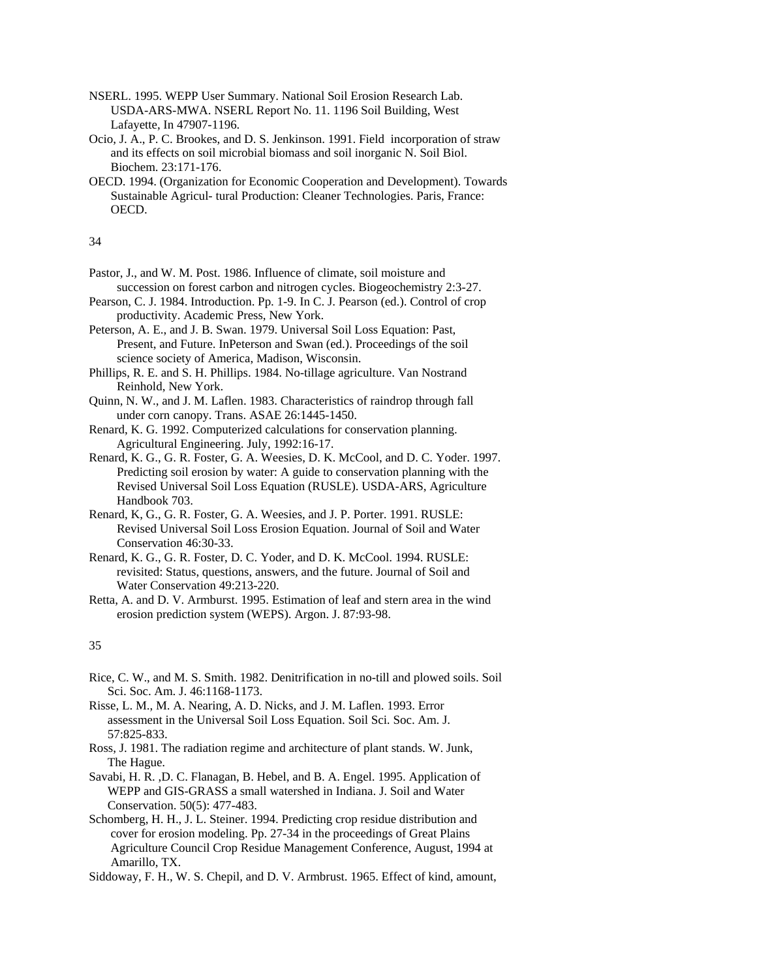- NSERL. 1995. WEPP User Summary. National Soil Erosion Research Lab. USDA-ARS-MWA. NSERL Report No. 11. 1196 Soil Building, West Lafayette, In 47907-1196.
- Ocio, J. A., P. C. Brookes, and D. S. Jenkinson. 1991. Field incorporation of straw and its effects on soil microbial biomass and soil inorganic N. Soil Biol. Biochem. 23:171-176.
- OECD. 1994. (Organization for Economic Cooperation and Development). Towards Sustainable Agricul- tural Production: Cleaner Technologies. Paris, France: OECD.

34

- Pastor, J., and W. M. Post. 1986. Influence of climate, soil moisture and succession on forest carbon and nitrogen cycles. Biogeochemistry 2:3-27.
- Pearson, C. J. 1984. Introduction. Pp. 1-9. In C. J. Pearson (ed.). Control of crop productivity. Academic Press, New York.
- Peterson, A. E., and J. B. Swan. 1979. Universal Soil Loss Equation: Past, Present, and Future. InPeterson and Swan (ed.). Proceedings of the soil science society of America, Madison, Wisconsin.
- Phillips, R. E. and S. H. Phillips. 1984. No-tillage agriculture. Van Nostrand Reinhold, New York.
- Quinn, N. W., and J. M. Laflen. 1983. Characteristics of raindrop through fall under corn canopy. Trans. ASAE 26:1445-1450.
- Renard, K. G. 1992. Computerized calculations for conservation planning. Agricultural Engineering. July, 1992:16-17.
- Renard, K. G., G. R. Foster, G. A. Weesies, D. K. McCool, and D. C. Yoder. 1997. Predicting soil erosion by water: A guide to conservation planning with the Revised Universal Soil Loss Equation (RUSLE). USDA-ARS, Agriculture Handbook 703.
- Renard, K, G., G. R. Foster, G. A. Weesies, and J. P. Porter. 1991. RUSLE: Revised Universal Soil Loss Erosion Equation. Journal of Soil and Water Conservation 46:30-33.
- Renard, K. G., G. R. Foster, D. C. Yoder, and D. K. McCool. 1994. RUSLE: revisited: Status, questions, answers, and the future. Journal of Soil and Water Conservation 49:213-220.
- Retta, A. and D. V. Armburst. 1995. Estimation of leaf and stern area in the wind erosion prediction system (WEPS). Argon. J. 87:93-98.

- Rice, C. W., and M. S. Smith. 1982. Denitrification in no-till and plowed soils. Soil Sci. Soc. Am. J. 46:1168-1173.
- Risse, L. M., M. A. Nearing, A. D. Nicks, and J. M. Laflen. 1993. Error assessment in the Universal Soil Loss Equation. Soil Sci. Soc. Am. J. 57:825-833.
- Ross, J. 1981. The radiation regime and architecture of plant stands. W. Junk, The Hague.
- Savabi, H. R. ,D. C. Flanagan, B. Hebel, and B. A. Engel. 1995. Application of WEPP and GIS-GRASS a small watershed in Indiana. J. Soil and Water Conservation. 50(5): 477-483.
- Schomberg, H. H., J. L. Steiner. 1994. Predicting crop residue distribution and cover for erosion modeling. Pp. 27-34 in the proceedings of Great Plains Agriculture Council Crop Residue Management Conference, August, 1994 at Amarillo, TX.
- Siddoway, F. H., W. S. Chepil, and D. V. Armbrust. 1965. Effect of kind, amount,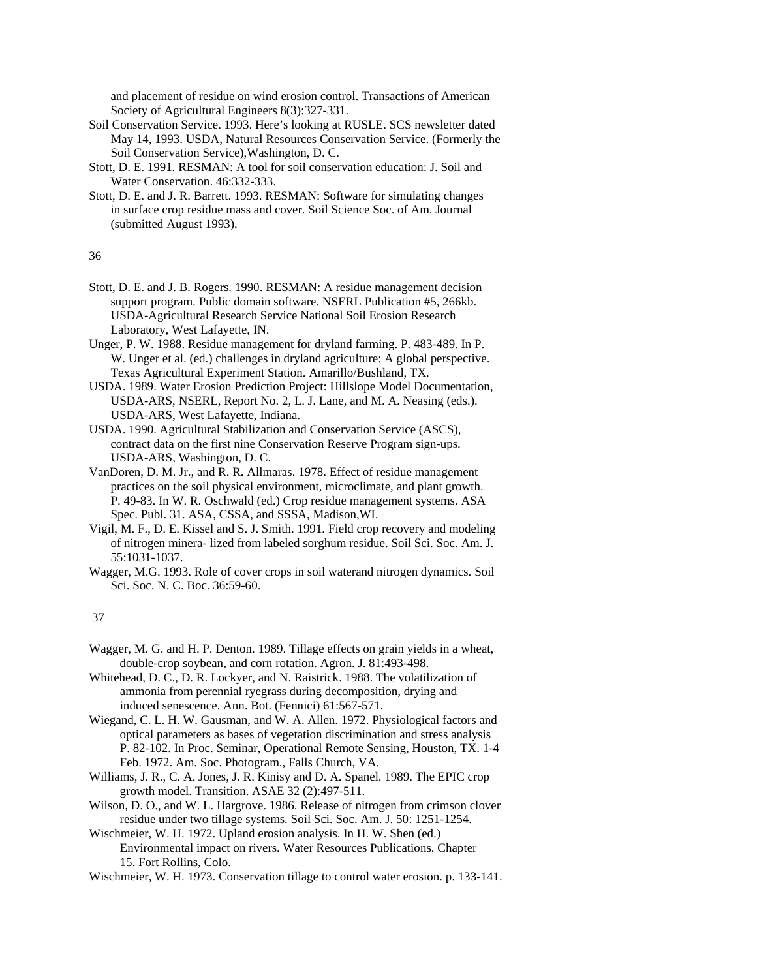and placement of residue on wind erosion control. Transactions of American Society of Agricultural Engineers 8(3):327-331.

- Soil Conservation Service. 1993. Here's looking at RUSLE. SCS newsletter dated May 14, 1993. USDA, Natural Resources Conservation Service. (Formerly the Soil Conservation Service),Washington, D. C.
- Stott, D. E. 1991. RESMAN: A tool for soil conservation education: J. Soil and Water Conservation. 46:332-333.
- Stott, D. E. and J. R. Barrett. 1993. RESMAN: Software for simulating changes in surface crop residue mass and cover. Soil Science Soc. of Am. Journal (submitted August 1993).

36

- Stott, D. E. and J. B. Rogers. 1990. RESMAN: A residue management decision support program. Public domain software. NSERL Publication #5, 266kb. USDA-Agricultural Research Service National Soil Erosion Research Laboratory, West Lafayette, IN.
- Unger, P. W. 1988. Residue management for dryland farming. P. 483-489. In P. W. Unger et al. (ed.) challenges in dryland agriculture: A global perspective. Texas Agricultural Experiment Station. Amarillo/Bushland, TX.
- USDA. 1989. Water Erosion Prediction Project: Hillslope Model Documentation, USDA-ARS, NSERL, Report No. 2, L. J. Lane, and M. A. Neasing (eds.). USDA-ARS, West Lafayette, Indiana.
- USDA. 1990. Agricultural Stabilization and Conservation Service (ASCS), contract data on the first nine Conservation Reserve Program sign-ups. USDA-ARS, Washington, D. C.
- VanDoren, D. M. Jr., and R. R. Allmaras. 1978. Effect of residue management practices on the soil physical environment, microclimate, and plant growth. P. 49-83. In W. R. Oschwald (ed.) Crop residue management systems. ASA Spec. Publ. 31. ASA, CSSA, and SSSA, Madison,WI.
- Vigil, M. F., D. E. Kissel and S. J. Smith. 1991. Field crop recovery and modeling of nitrogen minera- lized from labeled sorghum residue. Soil Sci. Soc. Am. J. 55:1031-1037.
- Wagger, M.G. 1993. Role of cover crops in soil waterand nitrogen dynamics. Soil Sci. Soc. N. C. Boc. 36:59-60.

37

- Wagger, M. G. and H. P. Denton. 1989. Tillage effects on grain yields in a wheat, double-crop soybean, and corn rotation. Agron. J. 81:493-498.
- Whitehead, D. C., D. R. Lockyer, and N. Raistrick. 1988. The volatilization of ammonia from perennial ryegrass during decomposition, drying and induced senescence. Ann. Bot. (Fennici) 61:567-571.
- Wiegand, C. L. H. W. Gausman, and W. A. Allen. 1972. Physiological factors and optical parameters as bases of vegetation discrimination and stress analysis P. 82-102. In Proc. Seminar, Operational Remote Sensing, Houston, TX. 1-4 Feb. 1972. Am. Soc. Photogram., Falls Church, VA.
- Williams, J. R., C. A. Jones, J. R. Kinisy and D. A. Spanel. 1989. The EPIC crop growth model. Transition. ASAE 32 (2):497-511.
- Wilson, D. O., and W. L. Hargrove. 1986. Release of nitrogen from crimson clover residue under two tillage systems. Soil Sci. Soc. Am. J. 50: 1251-1254.
- Wischmeier, W. H. 1972. Upland erosion analysis. In H. W. Shen (ed.) Environmental impact on rivers. Water Resources Publications. Chapter 15. Fort Rollins, Colo.

Wischmeier, W. H. 1973. Conservation tillage to control water erosion. p. 133-141.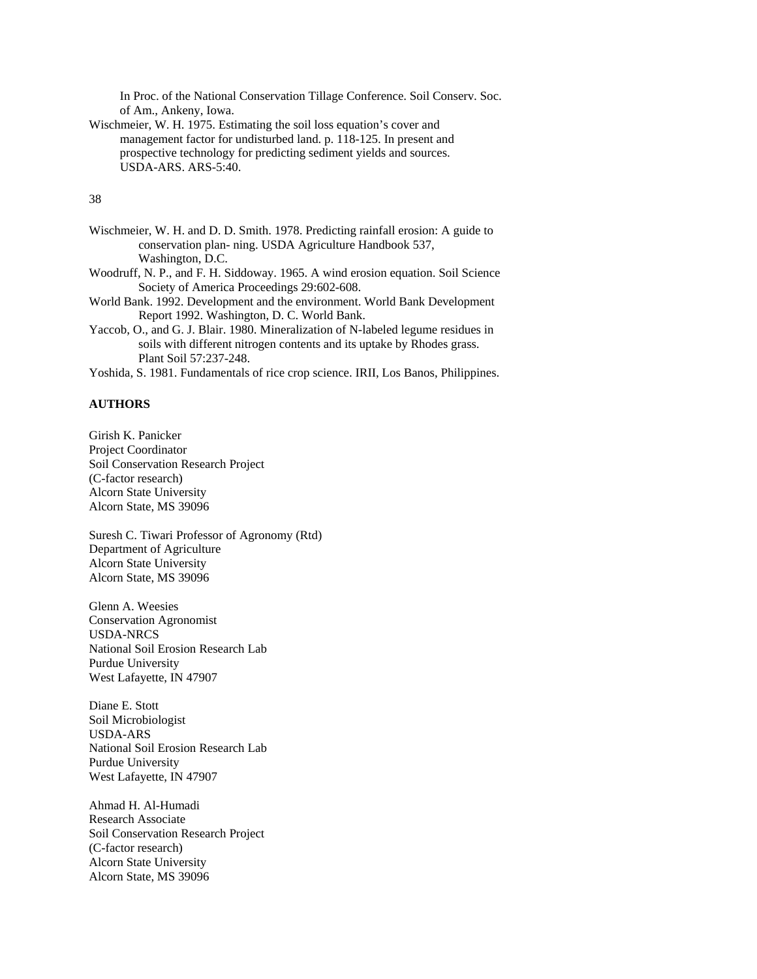In Proc. of the National Conservation Tillage Conference. Soil Conserv. Soc. of Am., Ankeny, Iowa.

Wischmeier, W. H. 1975. Estimating the soil loss equation's cover and management factor for undisturbed land. p. 118-125. In present and prospective technology for predicting sediment yields and sources. USDA-ARS. ARS-5:40.

# 38

- Wischmeier, W. H. and D. D. Smith. 1978. Predicting rainfall erosion: A guide to conservation plan- ning. USDA Agriculture Handbook 537, Washington, D.C.
- Woodruff, N. P., and F. H. Siddoway. 1965. A wind erosion equation. Soil Science Society of America Proceedings 29:602-608.
- World Bank. 1992. Development and the environment. World Bank Development Report 1992. Washington, D. C. World Bank.
- Yaccob, O., and G. J. Blair. 1980. Mineralization of N-labeled legume residues in soils with different nitrogen contents and its uptake by Rhodes grass. Plant Soil 57:237-248.
- Yoshida, S. 1981. Fundamentals of rice crop science. IRII, Los Banos, Philippines.

## **AUTHORS**

Girish K. Panicker Project Coordinator Soil Conservation Research Project (C-factor research) Alcorn State University Alcorn State, MS 39096

Suresh C. Tiwari Professor of Agronomy (Rtd) Department of Agriculture Alcorn State University Alcorn State, MS 39096

Glenn A. Weesies Conservation Agronomist USDA-NRCS National Soil Erosion Research Lab Purdue University West Lafayette, IN 47907

Diane E. Stott Soil Microbiologist USDA-ARS National Soil Erosion Research Lab Purdue University West Lafayette, IN 47907

Ahmad H. Al-Humadi Research Associate Soil Conservation Research Project (C-factor research) Alcorn State University Alcorn State, MS 39096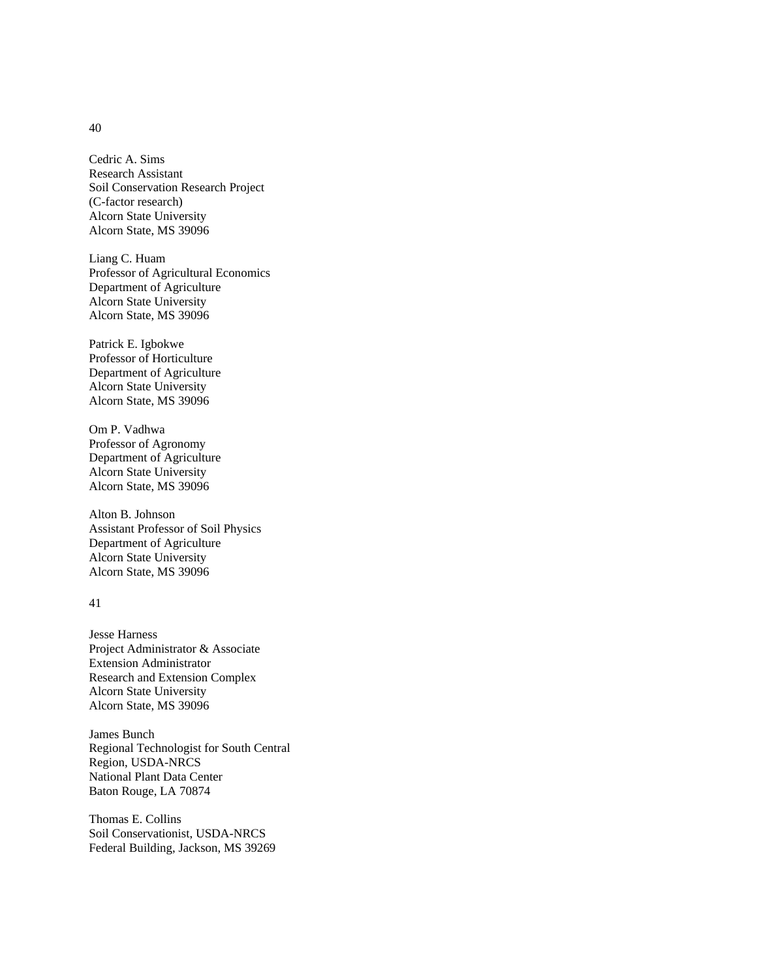Cedric A. Sims Research Assistant Soil Conservation Research Project (C-factor research) Alcorn State University Alcorn State, MS 39096

Liang C. Huam Professor of Agricultural Economics Department of Agriculture Alcorn State University Alcorn State, MS 39096

Patrick E. Igbokwe Professor of Horticulture Department of Agriculture Alcorn State University Alcorn State, MS 39096

Om P. Vadhwa Professor of Agronomy Department of Agriculture Alcorn State University Alcorn State, MS 39096

Alton B. Johnson Assistant Professor of Soil Physics Department of Agriculture Alcorn State University Alcorn State, MS 39096

## 41

Jesse Harness Project Administrator & Associate Extension Administrator Research and Extension Complex Alcorn State University Alcorn State, MS 39096

James Bunch Regional Technologist for South Central Region, USDA-NRCS National Plant Data Center Baton Rouge, LA 70874

Thomas E. Collins Soil Conservationist, USDA-NRCS Federal Building, Jackson, MS 39269